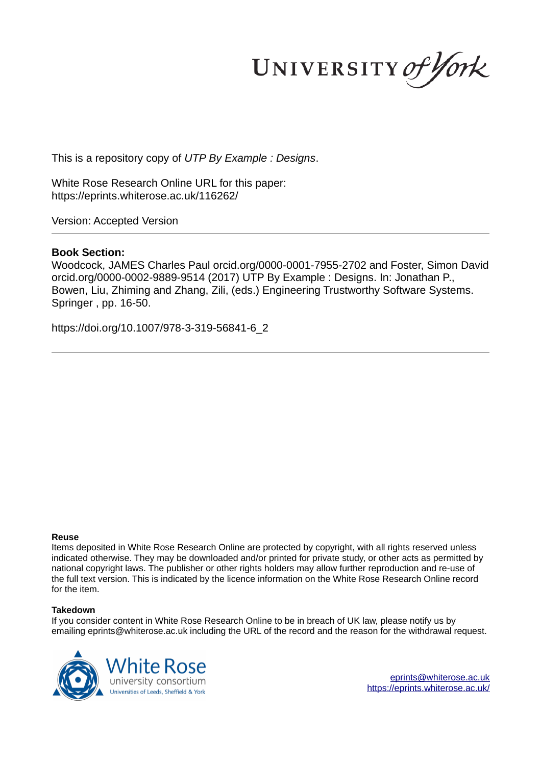UNIVERSITY of York

This is a repository copy of *UTP By Example : Designs*.

White Rose Research Online URL for this paper: https://eprints.whiterose.ac.uk/116262/

Version: Accepted Version

## **Book Section:**

Woodcock, JAMES Charles Paul orcid.org/0000-0001-7955-2702 and Foster, Simon David orcid.org/0000-0002-9889-9514 (2017) UTP By Example : Designs. In: Jonathan P., Bowen, Liu, Zhiming and Zhang, Zili, (eds.) Engineering Trustworthy Software Systems. Springer , pp. 16-50.

https://doi.org/10.1007/978-3-319-56841-6\_2

### **Reuse**

Items deposited in White Rose Research Online are protected by copyright, with all rights reserved unless indicated otherwise. They may be downloaded and/or printed for private study, or other acts as permitted by national copyright laws. The publisher or other rights holders may allow further reproduction and re-use of the full text version. This is indicated by the licence information on the White Rose Research Online record for the item.

### **Takedown**

If you consider content in White Rose Research Online to be in breach of UK law, please notify us by emailing eprints@whiterose.ac.uk including the URL of the record and the reason for the withdrawal request.



eprints@whiterose.ac.uk https://eprints.whiterose.ac.uk/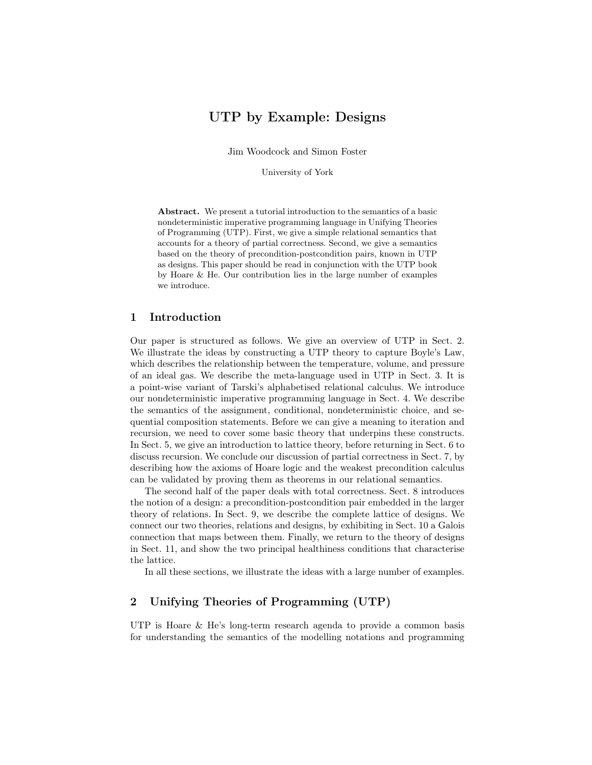# UTP by Example: Designs

Jim Woodcock and Simon Foster

University of York

Abstract. We present a tutorial introduction to the semantics of a basic nondeterministic imperative programming language in Unifying Theories of Programming (UTP). First, we give a simple relational semantics that accounts for a theory of partial correctness. Second, we give a semantics based on the theory of precondition-postcondition pairs, known in UTP as designs. This paper should be read in conjunction with the UTP book by Hoare & He. Our contribution lies in the large number of examples we introduce.

### 1 Introduction

Our paper is structured as follows. We give an overview of UTP in Sect. 2. We illustrate the ideas by constructing a UTP theory to capture Boyle's Law, which describes the relationship between the temperature, volume, and pressure of an ideal gas. We describe the meta-language used in UTP in Sect. 3. It is a point-wise variant of Tarski's alphabetised relational calculus. We introduce our nondeterministic imperative programming language in Sect. 4. We describe the semantics of the assignment, conditional, nondeterministic choice, and sequential composition statements. Before we can give a meaning to iteration and recursion, we need to cover some basic theory that underpins these constructs. In Sect. 5, we give an introduction to lattice theory, before returning in Sect. 6 to discuss recursion. We conclude our discussion of partial correctness in Sect. 7, by describing how the axioms of Hoare logic and the weakest precondition calculus can be validated by proving them as theorems in our relational semantics.

The second half of the paper deals with total correctness. Sect. 8 introduces the notion of a design: a precondition-postcondition pair embedded in the larger theory of relations. In Sect. 9, we describe the complete lattice of designs. We connect our two theories, relations and designs, by exhibiting in Sect. 10 a Galois connection that maps between them. Finally, we return to the theory of designs in Sect. 11, and show the two principal healthiness conditions that characterise the lattice.

In all these sections, we illustrate the ideas with a large number of examples.

## 2 Unifying Theories of Programming (UTP)

UTP is Hoare & He's long-term research agenda to provide a common basis for understanding the semantics of the modelling notations and programming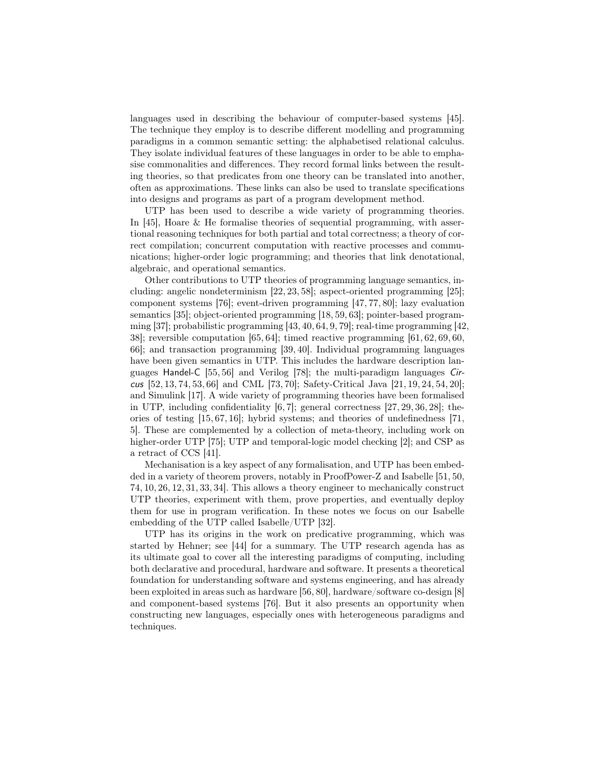languages used in describing the behaviour of computer-based systems [45]. The technique they employ is to describe different modelling and programming paradigms in a common semantic setting: the alphabetised relational calculus. They isolate individual features of these languages in order to be able to emphasise commonalities and differences. They record formal links between the resulting theories, so that predicates from one theory can be translated into another, often as approximations. These links can also be used to translate specifications into designs and programs as part of a program development method.

UTP has been used to describe a wide variety of programming theories. In [45], Hoare & He formalise theories of sequential programming, with assertional reasoning techniques for both partial and total correctness; a theory of correct compilation; concurrent computation with reactive processes and communications; higher-order logic programming; and theories that link denotational, algebraic, and operational semantics.

Other contributions to UTP theories of programming language semantics, including: angelic nondeterminism [22, 23, 58]; aspect-oriented programming [25]; component systems [76]; event-driven programming [47, 77, 80]; lazy evaluation semantics [35]; object-oriented programming [18, 59, 63]; pointer-based programming  $[37]$ ; probabilistic programming  $[43, 40, 64, 9, 79]$ ; real-time programming  $[42, 40, 64, 9, 79]$ 38]; reversible computation [65, 64]; timed reactive programming [61, 62, 69, 60, 66]; and transaction programming [39, 40]. Individual programming languages have been given semantics in UTP. This includes the hardware description languages Handel-C [55, 56] and Verilog [78]; the multi-paradigm languages Circus [52, 13, 74, 53, 66] and CML [73, 70]; Safety-Critical Java [21, 19, 24, 54, 20]; and Simulink [17]. A wide variety of programming theories have been formalised in UTP, including confidentiality  $[6, 7]$ ; general correctness  $[27, 29, 36, 28]$ ; theories of testing [15, 67, 16]; hybrid systems; and theories of undefinedness [71, 5]. These are complemented by a collection of meta-theory, including work on higher-order UTP [75]; UTP and temporal-logic model checking [2]; and CSP as a retract of CCS [41].

Mechanisation is a key aspect of any formalisation, and UTP has been embedded in a variety of theorem provers, notably in ProofPower-Z and Isabelle [51, 50, 74, 10, 26, 12, 31, 33, 34]. This allows a theory engineer to mechanically construct UTP theories, experiment with them, prove properties, and eventually deploy them for use in program verification. In these notes we focus on our Isabelle embedding of the UTP called Isabelle/UTP [32].

UTP has its origins in the work on predicative programming, which was started by Hehner; see [44] for a summary. The UTP research agenda has as its ultimate goal to cover all the interesting paradigms of computing, including both declarative and procedural, hardware and software. It presents a theoretical foundation for understanding software and systems engineering, and has already been exploited in areas such as hardware [56, 80], hardware/software co-design [8] and component-based systems [76]. But it also presents an opportunity when constructing new languages, especially ones with heterogeneous paradigms and techniques.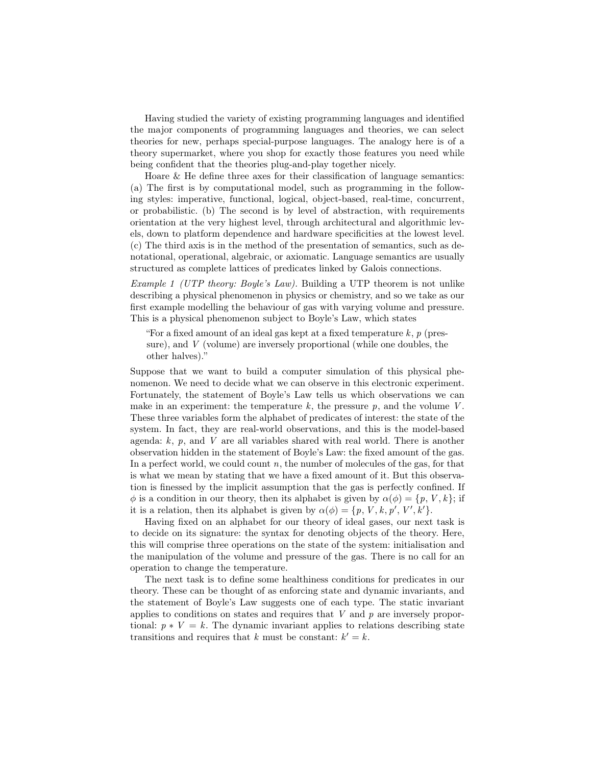Having studied the variety of existing programming languages and identified the major components of programming languages and theories, we can select theories for new, perhaps special-purpose languages. The analogy here is of a theory supermarket, where you shop for exactly those features you need while being confident that the theories plug-and-play together nicely.

Hoare & He define three axes for their classification of language semantics: (a) The first is by computational model, such as programming in the following styles: imperative, functional, logical, object-based, real-time, concurrent, or probabilistic. (b) The second is by level of abstraction, with requirements orientation at the very highest level, through architectural and algorithmic levels, down to platform dependence and hardware specificities at the lowest level. (c) The third axis is in the method of the presentation of semantics, such as denotational, operational, algebraic, or axiomatic. Language semantics are usually structured as complete lattices of predicates linked by Galois connections.

Example 1 (UTP theory: Boyle's Law). Building a UTP theorem is not unlike describing a physical phenomenon in physics or chemistry, and so we take as our first example modelling the behaviour of gas with varying volume and pressure. This is a physical phenomenon subject to Boyle's Law, which states

"For a fixed amount of an ideal gas kept at a fixed temperature  $k, p$  (pressure), and V (volume) are inversely proportional (while one doubles, the other halves)."

Suppose that we want to build a computer simulation of this physical phenomenon. We need to decide what we can observe in this electronic experiment. Fortunately, the statement of Boyle's Law tells us which observations we can make in an experiment: the temperature  $k$ , the pressure  $p$ , and the volume  $V$ . These three variables form the alphabet of predicates of interest: the state of the system. In fact, they are real-world observations, and this is the model-based agenda:  $k$ ,  $p$ , and  $V$  are all variables shared with real world. There is another observation hidden in the statement of Boyle's Law: the fixed amount of the gas. In a perfect world, we could count  $n$ , the number of molecules of the gas, for that is what we mean by stating that we have a fixed amount of it. But this observation is finessed by the implicit assumption that the gas is perfectly confined. If  $\phi$  is a condition in our theory, then its alphabet is given by  $\alpha(\phi) = \{p, V, k\}$ ; if it is a relation, then its alphabet is given by  $\alpha(\phi) = \{p, V, k, p', V', k'\}.$ 

Having fixed on an alphabet for our theory of ideal gases, our next task is to decide on its signature: the syntax for denoting objects of the theory. Here, this will comprise three operations on the state of the system: initialisation and the manipulation of the volume and pressure of the gas. There is no call for an operation to change the temperature.

The next task is to define some healthiness conditions for predicates in our theory. These can be thought of as enforcing state and dynamic invariants, and the statement of Boyle's Law suggests one of each type. The static invariant applies to conditions on states and requires that  $V$  and  $p$  are inversely proportional:  $p * V = k$ . The dynamic invariant applies to relations describing state transitions and requires that k must be constant:  $k' = k$ .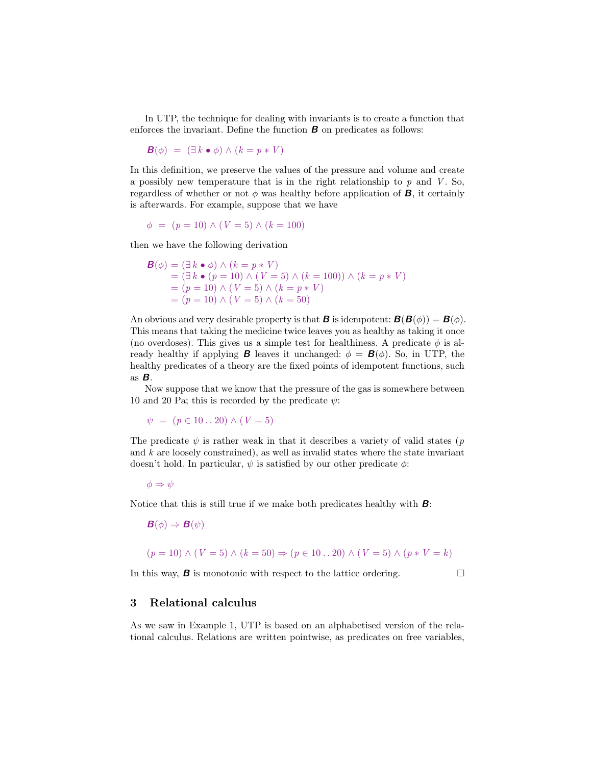In UTP, the technique for dealing with invariants is to create a function that enforces the invariant. Define the function  $\boldsymbol{B}$  on predicates as follows:

$$
\mathbf{B}(\phi) = (\exists k \bullet \phi) \land (k = p * V)
$$

In this definition, we preserve the values of the pressure and volume and create a possibly new temperature that is in the right relationship to  $p$  and  $V$ . So, regardless of whether or not  $\phi$  was healthy before application of **B**, it certainly is afterwards. For example, suppose that we have

$$
\phi = (p = 10) \land (V = 5) \land (k = 100)
$$

then we have the following derivation

$$
\begin{aligned} \mathbf{B}(\phi) &= (\exists \, k \bullet \phi) \land (k = p * V) \\ &= (\exists \, k \bullet (p = 10) \land (V = 5) \land (k = 100)) \land (k = p * V) \\ &= (p = 10) \land (V = 5) \land (k = p * V) \\ &= (p = 10) \land (V = 5) \land (k = 50) \end{aligned}
$$

An obvious and very desirable property is that **B** is idempotent:  $\mathbf{B}(\mathbf{B}(\phi)) = \mathbf{B}(\phi)$ . This means that taking the medicine twice leaves you as healthy as taking it once (no overdoses). This gives us a simple test for healthiness. A predicate  $\phi$  is already healthy if applying **B** leaves it unchanged:  $\phi = \mathbf{B}(\phi)$ . So, in UTP, the healthy predicates of a theory are the fixed points of idempotent functions, such as B.

Now suppose that we know that the pressure of the gas is somewhere between 10 and 20 Pa; this is recorded by the predicate  $\psi$ :

 $\psi = (p \in 10..20) \wedge (V = 5)$ 

The predicate  $\psi$  is rather weak in that it describes a variety of valid states (p and  $k$  are loosely constrained), as well as invalid states where the state invariant doesn't hold. In particular,  $\psi$  is satisfied by our other predicate  $\phi$ :

 $\phi \Rightarrow \psi$ 

Notice that this is still true if we make both predicates healthy with **B**:

$$
\boldsymbol{B}(\phi) \Rightarrow \boldsymbol{B}(\psi)
$$

$$
(p = 10) \land (V = 5) \land (k = 50) \Rightarrow (p \in 10..20) \land (V = 5) \land (p * V = k)
$$

In this way,  $\boldsymbol{B}$  is monotonic with respect to the lattice ordering.  $\Box$ 

#### 3 Relational calculus

As we saw in Example 1, UTP is based on an alphabetised version of the relational calculus. Relations are written pointwise, as predicates on free variables,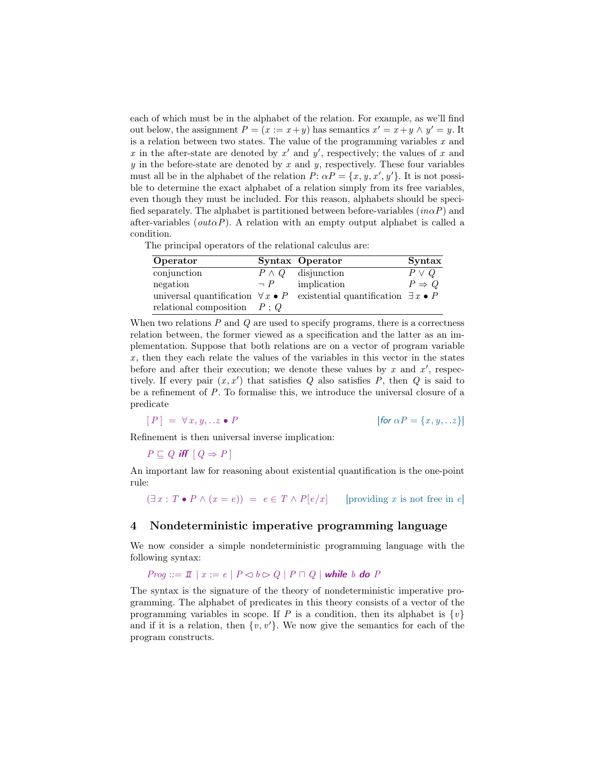each of which must be in the alphabet of the relation. For example, as we'll find out below, the assignment  $P = (x := x + y)$  has semantics  $x' = x + y \wedge y' = y$ . It is a relation between two states. The value of the programming variables  $x$  and x in the after-state are denoted by  $x'$  and  $y'$ , respectively; the values of x and  $y$  in the before-state are denoted by  $x$  and  $y$ , respectively. These four variables must all be in the alphabet of the relation  $P: \alpha P = \{x, y, x', y'\}$ . It is not possible to determine the exact alphabet of a relation simply from its free variables, even though they must be included. For this reason, alphabets should be specified separately. The alphabet is partitioned between before-variables  $(in\alpha P)$  and after-variables ( $out \alpha P$ ). A relation with an empty output alphabet is called a condition.

The principal operators of the relational calculus are:

| Operator                     |              | Syntax Operator                                                                                 | Syntax            |
|------------------------------|--------------|-------------------------------------------------------------------------------------------------|-------------------|
| conjunction                  | $P \wedge Q$ | disjunction                                                                                     | $P \vee Q$        |
| negation                     | $\neg P$     | implication                                                                                     | $P \Rightarrow Q$ |
|                              |              | universal quantification $\forall x \bullet P$ existential quantification $\exists x \bullet P$ |                   |
| relational composition $P:Q$ |              |                                                                                                 |                   |

When two relations  $P$  and  $Q$  are used to specify programs, there is a correctness relation between, the former viewed as a specification and the latter as an implementation. Suppose that both relations are on a vector of program variable  $x$ , then they each relate the values of the variables in this vector in the states before and after their execution; we denote these values by  $x$  and  $x'$ , respectively. If every pair  $(x, x')$  that satisfies Q also satisfies P, then Q is said to be a refinement of P. To formalise this, we introduce the universal closure of a predicate

 $[P] = \forall x, y, \ldots z \bullet P$  [for  $\alpha P = \{x, y, \ldots z\}$ ]

Refinement is then universal inverse implication:

 $P \sqsubset Q$  iff  $[Q \Rightarrow P]$ 

An important law for reasoning about existential quantification is the one-point rule:

 $(\exists x : T \bullet P \land (x = e)) = e \in T \land P[e/x]$  [providing x is not free in e]

## 4 Nondeterministic imperative programming language

We now consider a simple nondeterministic programming language with the following syntax:

 $Proof ::= \mathcal{I} | x := e | P \triangleleft b \triangleright Q | P \sqcap Q |$  while b do P

The syntax is the signature of the theory of nondeterministic imperative programming. The alphabet of predicates in this theory consists of a vector of the programming variables in scope. If P is a condition, then its alphabet is  $\{v\}$ and if it is a relation, then  $\{v, v'\}$ . We now give the semantics for each of the program constructs.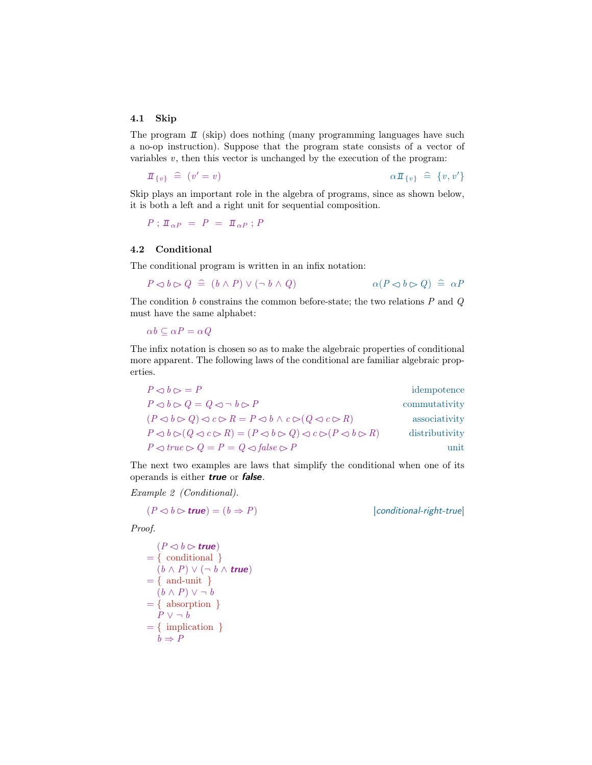#### 4.1 Skip

The program  $\mathbb{I}$  (skip) does nothing (many programming languages have such a no-op instruction). Suppose that the program state consists of a vector of variables  $v$ , then this vector is unchanged by the execution of the program:

$$
\pi_{\{v\}} \,\,\widehat{=}\,\,\left(v'=v\right) \qquad \qquad \alpha \pi_{\{v\}} \,\,\widehat{=}\,\,\left\{v,v'\right\}
$$

Skip plays an important role in the algebra of programs, since as shown below, it is both a left and a right unit for sequential composition.

 $P$ ;  $\mathcal{I}_{\alpha P} = P = \mathcal{I}_{\alpha P}$ ; P

#### 4.2 Conditional

The conditional program is written in an infix notation:

 $P \triangleleft b \triangleright Q \triangleq (b \wedge P) \vee (\neg b \wedge Q)$   $\alpha (P \triangleleft b \triangleright Q) \triangleq \alpha P$ 

The condition  $b$  constrains the common before-state; the two relations  $P$  and  $Q$ must have the same alphabet:

 $\alpha b \subseteq \alpha P = \alpha Q$ 

The infix notation is chosen so as to make the algebraic properties of conditional more apparent. The following laws of the conditional are familiar algebraic properties.

| $P \triangleleft b \triangleright = P$                                                                                                                                             | idempotence    |
|------------------------------------------------------------------------------------------------------------------------------------------------------------------------------------|----------------|
| $P \triangleleft b \triangleright Q = Q \triangleleft \neg b \triangleright P$                                                                                                     | commutativity  |
| $(P \triangleleft b \triangleright Q) \triangleleft c \triangleright R = P \triangleleft b \wedge c \triangleright (Q \triangleleft c \triangleright R)$                           | associativity  |
| $P \triangleleft b \triangleright (Q \triangleleft c \triangleright R) = (P \triangleleft b \triangleright Q) \triangleleft c \triangleright (P \triangleleft b \triangleright R)$ | distributivity |
| $P \lhd true \rhd Q = P = Q \lhd false \rhd P$                                                                                                                                     | unit           |
|                                                                                                                                                                                    |                |

The next two examples are laws that simplify the conditional when one of its operands is either true or false.

Example 2 (Conditional).

$$
(P \triangleleft b \triangleright \text{true}) = (b \Rightarrow P)
$$

[conditional-right-true]

Proof.

$$
(P \triangleleft b \triangle true)
$$
\n
$$
= \{ \text{ conditional } \}
$$
\n
$$
(b \land P) \lor (\neg b \land true)
$$
\n
$$
= \{ \text{ and-unit } \}
$$
\n
$$
(b \land P) \lor \neg b
$$
\n
$$
= \{ \text{ absorption } \}
$$
\n
$$
P \lor \neg b
$$
\n
$$
= \{ \text{ implication } \}
$$
\n
$$
b \Rightarrow P
$$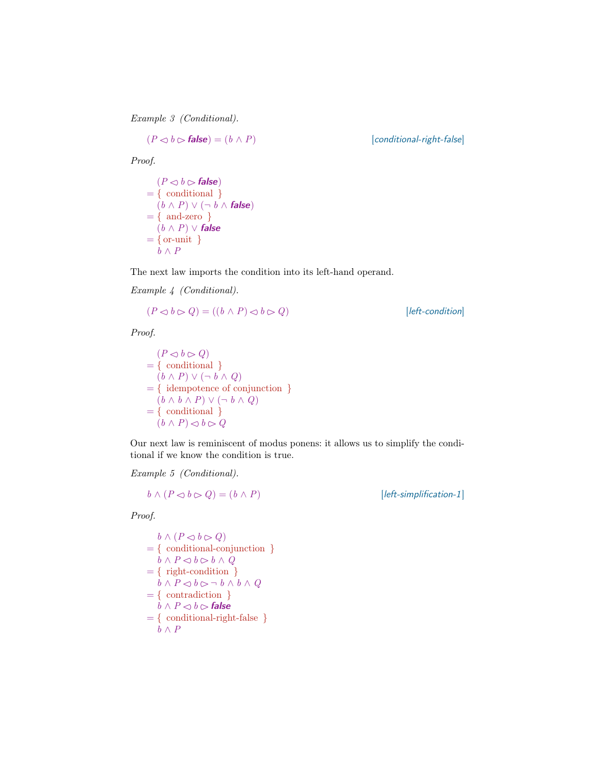Example 3 (Conditional).

$$
(P \triangleleft b \triangleright \mathit{false}) = (b \land P)
$$

 $[conditional$ -right-false $]$ 

Proof.

$$
(P \triangleleft b \triangleright \text{false})
$$
\n
$$
= \{ \text{ conditional } \}
$$
\n
$$
(b \wedge P) \vee (\neg b \wedge \text{false})
$$
\n
$$
= \{ \text{ and-zero } \}
$$
\n
$$
(b \wedge P) \vee \text{false}
$$
\n
$$
= \{ \text{or-unit } \}
$$
\n
$$
b \wedge P
$$

The next law imports the condition into its left-hand operand.

Example 4 (Conditional).

$$
(P \lhd b \rhd Q) = ((b \land P) \lhd b \rhd Q) \qquad [left\lnot condition]
$$

Proof.

$$
(P \triangleleft b \triangleright Q)
$$
  
= { conditional }  
(b \wedge P) \vee (\neg b \wedge Q)  
= { idempotence of conjunction }  
(b \wedge b \wedge P) \vee (\neg b \wedge Q)  
= { conditional }  
(b \wedge P) \triangleleft b \triangleright Q

Our next law is reminiscent of modus ponens: it allows us to simplify the conditional if we know the condition is true.

Example 5 (Conditional).

$$
b \wedge (P \triangleleft b \triangleright Q) = (b \wedge P)
$$

 $\left[ \text{left-simplification-1} \right]$ 

Proof.

$$
b \land (P \lhd b \rhd Q)
$$
\n
$$
= \{ \text{ conditional-conjunction } \}
$$
\n
$$
b \land P \lhd b \rhd b \land Q
$$
\n
$$
= \{ \text{ right-condition } \}
$$
\n
$$
b \land P \lhd b \rhd \neg b \land b \land Q
$$
\n
$$
= \{ \text{ contradiction } \}
$$
\n
$$
b \land P \lhd b \rhd \text{false}
$$
\n
$$
= \{ \text{ conditional-right-false } \}
$$
\n
$$
b \land P
$$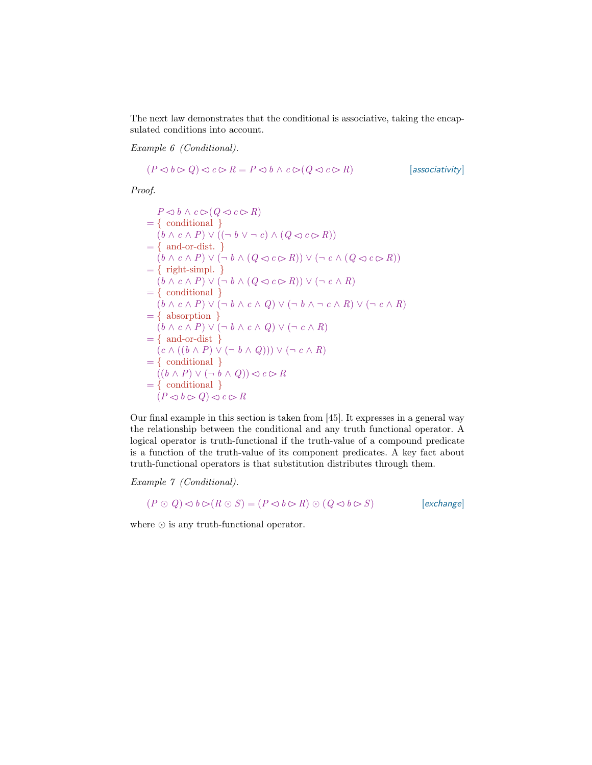The next law demonstrates that the conditional is associative, taking the encapsulated conditions into account.

Example 6 (Conditional).

$$
(P \triangleleft b \triangleright Q) \triangleleft c \triangleright R = P \triangleleft b \land c \triangleright (Q \triangleleft c \triangleright R) \tag{associativity}
$$

Proof.

$$
P \triangleleft b \land c \triangleleft Q \triangleleft c \triangle R
$$
  
= { conditional }  
(b \land c \land P) \lor ((\neg b \lor \neg c) \land (Q \triangleleft c \triangle R))  
= { and-or-dist. }  
(b \land c \land P) \lor (\neg b \land (Q \triangleleft c \triangle R)) \lor (\neg c \land (Q \triangleleft c \triangle R))  
= { right-simpl. }  
(b \land c \land P) \lor (\neg b \land (Q \triangleleft c \triangle R)) \lor (\neg c \land R)  
= { conditional }  
(b \land c \land P) \lor (\neg b \land c \land Q) \lor (\neg b \land \neg c \land R) \lor (\neg c \land R)  
= { absorption }  
(b \land c \land P) \lor (\neg b \land c \land Q) \lor (\neg c \land R)  
= { and-or-dist }  
(c \land ((b \land P) \lor (\neg b \land Q))) \lor (\neg c \land R)  
= { conditional }  
((b \land P) \lor (\neg b \land Q)) \triangleleft c \triangle R  
= { conditional }  
(P \triangle b \triangle Q) \triangleleft c \triangle R

Our final example in this section is taken from [45]. It expresses in a general way the relationship between the conditional and any truth functional operator. A logical operator is truth-functional if the truth-value of a compound predicate is a function of the truth-value of its component predicates. A key fact about truth-functional operators is that substitution distributes through them.

Example 7 (Conditional).

$$
(P \odot Q) \lhd b \rhd (R \odot S) = (P \lhd b \rhd R) \odot (Q \lhd b \rhd S) \qquad \qquad [\text{exchange}]
$$

where ⊙ is any truth-functional operator.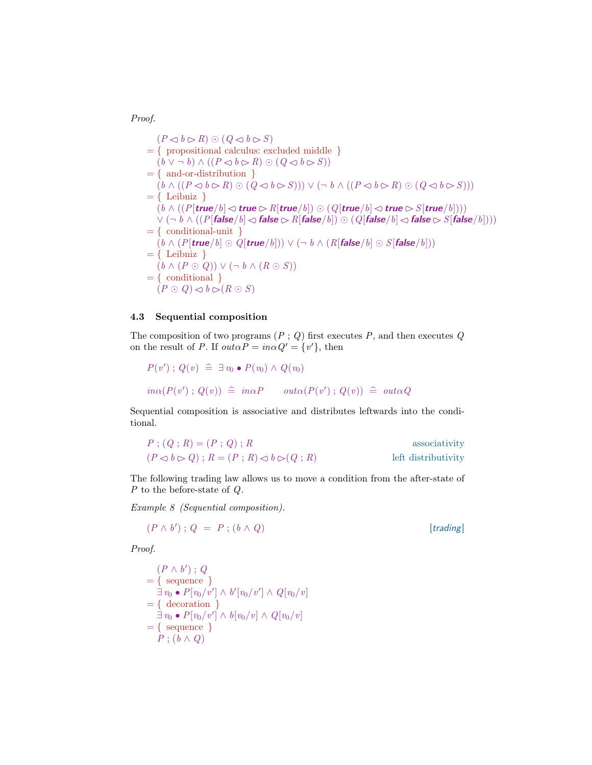Proof.

 $(P \triangleleft b \triangleright R) \odot (Q \triangleleft b \triangleright S)$  $=$  { propositional calculus: excluded middle }  $(b \vee \neg b) \wedge ((P \triangleleft b \triangleright R) \odot (Q \triangleleft b \triangleright S))$  $=\{$  and-or-distribution  $\}$  $(b \wedge ((P \triangleleft b \triangle R) \odot (Q \triangleleft b \triangle S))) \vee (\neg b \wedge ((P \triangleleft b \triangle R) \odot (Q \triangleleft b \triangle S)))$  $= \{$  Leibniz  $\}$  $(b \wedge ((P[\mathsf{true}/b] \triangleleft \mathsf{true} \triangleright R[\mathsf{true}/b]) \odot (Q[\mathsf{true}/b] \triangleleft \mathsf{true} \triangleright S[\mathsf{true}/b]))$  $\vee$  (¬ b  $\wedge$  ((P[false/b]  $\triangle$  false  $\triangleright$  R[false/b])  $\odot$  (Q[false/b] $\triangle$  false  $\triangleright$  S[false/b])))  $=\{$  conditional-unit  $\}$  $(b \wedge (P[true/b] \odot Q[true/b])) \vee (\neg b \wedge (R[false/b] \odot S[false/b]))$  $= \{$  Leibniz  $\}$  $(b \wedge (P \odot Q)) \vee (\neg b \wedge (R \odot S))$  $= \{$  conditional  $\}$  $(P \odot Q) \triangleleft b \bigtriangleup (R \odot S)$ 

#### 4.3 Sequential composition

The composition of two programs  $(P; Q)$  first executes P, and then executes Q on the result of P. If  $out \alpha P = in \alpha Q' = \{v'\},\$ 

$$
P(v')\,;\,Q(v) \,\,\widehat{=} \,\,\exists\,v_0 \bullet P(v_0) \land Q(v_0)
$$
  

$$
in\alpha(P(v')\,;\,Q(v)) \,\,\widehat{=} \,\,in\, P \qquad out\alpha(P(v')\,;\,Q(v)) \,\,\widehat{=} \,\,out\alpha Q
$$

Sequential composition is associative and distributes leftwards into the conditional.

$$
P: (Q: R) = (P: Q): R
$$
associativity  

$$
(P \triangleleft b \triangleright Q): R = (P: R) \triangleleft b \triangleright (Q: R)
$$
left distributivity  
left distributivity

The following trading law allows us to move a condition from the after-state of P to the before-state of Q.

Example 8 (Sequential composition).

$$
(P \wedge b') \; ; \; Q \; = \; P \; ; \; (b \wedge Q) \tag{trading}
$$

Proof.

$$
(P \wedge b') : Q
$$
  
= { sequence }  

$$
\exists v_0 \bullet P[v_0/v'] \wedge b'[v_0/v'] \wedge Q[v_0/v]
$$
  
= { decision }  

$$
\exists v_0 \bullet P[v_0/v'] \wedge b[v_0/v] \wedge Q[v_0/v]
$$
  
= { sequence }  

$$
P ; (b \wedge Q)
$$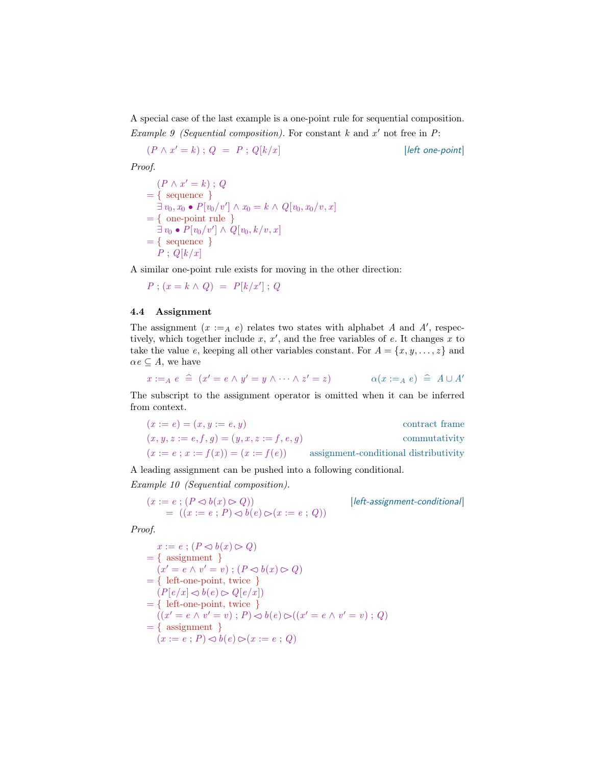A special case of the last example is a one-point rule for sequential composition. Example 9 (Sequential composition). For constant  $k$  and  $x'$  not free in  $P$ :

$$
(P \wedge x' = k); Q = P; Q[k/x]
$$
 [left one-point]

Proof.

$$
(P \land x' = k); Q
$$
  
= { sequence }  

$$
\exists v_0, x_0 \bullet P[v_0/v'] \land x_0 = k \land Q[v_0, x_0/v, x]
$$
  
= { one-point rule }  

$$
\exists v_0 \bullet P[v_0/v'] \land Q[v_0, k/v, x]
$$
  
= { sequence }  

$$
P; Q[k/x]
$$

A similar one-point rule exists for moving in the other direction:

 $P$ ;  $(x = k \wedge Q) = P[k/x']$ ; Q

#### 4.4 Assignment

The assignment  $(x :=_A e)$  relates two states with alphabet A and A', respectively, which together include  $x, x'$ , and the free variables of  $e$ . It changes  $x$  to take the value e, keeping all other variables constant. For  $A = \{x, y, \ldots, z\}$  and  $\alpha e \subseteq A$ , we have

$$
x :=_A e \; \widehat{=} \; \left( x' = e \land y' = y \land \cdots \land z' = z \right) \qquad \qquad \alpha(x :=_A e) \; \widehat{=} \; A \cup A'
$$

The subscript to the assignment operator is omitted when it can be inferred from context.

$$
(x := e) = (x, y := e, y)
$$
 contract frame  
\n
$$
(x, y, z := e, f, g) = (y, x, z := f, e, g)
$$
 commutativity  
\n
$$
(x := e; x := f(x)) = (x := f(e))
$$
 assignment-conditional distributivity

A leading assignment can be pushed into a following conditional.

Example 10 (Sequential composition).

$$
(x := e ; (P \lhd b(x) \rhd Q))
$$
\n
$$
= ((x := e ; P) \lhd b(e) \rhd (x := e ; Q))
$$
\n[left-assignment-conditional]

Proof.

$$
x := e ; (P \triangleleft b(x) \cap Q)
$$
  
= { assignment }  
(x' = e \wedge v' = v) ; (P \triangleleft b(x) \cap Q)  
= { left-one-point, twice }  
(P[e/x] \triangleleft b(e) \cap Q[e/x])  
= { left-one-point, twice }  
((x' = e \wedge v' = v) ; P) \triangleleft b(e) \cap ((x' = e \wedge v' = v) ; Q)  
= { assignment }  
(x := e ; P) \triangleleft b(e) \cap (x := e ; Q)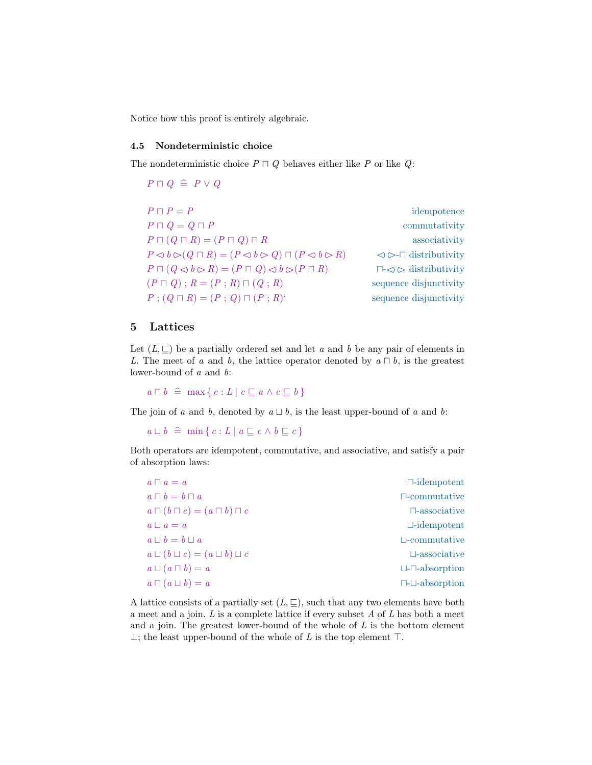Notice how this proof is entirely algebraic.

### 4.5 Nondeterministic choice

 $P \sqcap Q \triangleq P \vee Q$ 

The nondeterministic choice  $P \sqcap Q$  behaves either like P or like  $Q$ :

| $P \sqcap P = P$                                                                                                                   | idempotence                                        |
|------------------------------------------------------------------------------------------------------------------------------------|----------------------------------------------------|
| $P \sqcap Q = Q \sqcap P$                                                                                                          | commutativity                                      |
| $P \sqcap (Q \sqcap R) = (P \sqcap Q) \sqcap R$                                                                                    | associativity                                      |
| $P \triangleleft b \triangleright (Q \sqcap R) = (P \triangleleft b \triangleright Q) \sqcap (P \triangleleft b \triangleright R)$ | $\Diamond \Diamond \neg \Box$ distributivity       |
| $P \sqcap (Q \triangleleft b \triangleright R) = (P \sqcap Q) \triangleleft b \triangleright (P \sqcap R)$                         | $\Box \neg \Diamond \triangleright$ distributivity |
| $(P \sqcap Q)$ ; $R = (P; R) \sqcap (Q; R)$                                                                                        | sequence disjunctivity                             |
| $P$ ; $(Q \sqcap R) = (P; Q) \sqcap (P; R)^c$                                                                                      | sequence disjunctivity                             |

### 5 Lattices

Let  $(L, \subseteq)$  be a partially ordered set and let a and b be any pair of elements in L. The meet of a and b, the lattice operator denoted by  $a \sqcap b$ , is the greatest lower-bound of a and b:

 $a \sqcap b \ \widehat{=} \ \max \{ c : L \mid c \sqsubseteq a \land c \sqsubseteq b \}$ 

The join of a and b, denoted by  $a \sqcup b$ , is the least upper-bound of a and b:

 $a \sqcup b \ \widehat{=} \ \min \{ c : L \mid a \sqsubseteq c \land b \sqsubseteq c \}$ 

Both operators are idempotent, commutative, and associative, and satisfy a pair of absorption laws:

| $a \sqcap a = a$                                | $\Box$ -idempotent          |
|-------------------------------------------------|-----------------------------|
| $a \sqcap b = b \sqcap a$                       | $\Box$ -commutative         |
| $a \sqcap (b \sqcap c) = (a \sqcap b) \sqcap c$ | $\Box$ -associative         |
| $a \sqcup a = a$                                | $\sqcup$ -idempotent        |
| $a \sqcup b = b \sqcup a$                       | $\sqcup$ -commutative       |
| $a \sqcup (b \sqcup c) = (a \sqcup b) \sqcup c$ | $\sqcup$ -associative       |
| $a \sqcup (a \sqcap b) = a$                     | $\Box$ - $\Box$ -absorption |
| $a \sqcap (a \sqcup b) = a$                     | $\Box$ - $\Box$ -absorption |

A lattice consists of a partially set  $(L, \subseteq)$ , such that any two elements have both a meet and a join.  $L$  is a complete lattice if every subset  $A$  of  $L$  has both a meet and a join. The greatest lower-bound of the whole of  $L$  is the bottom element ⊥; the least upper-bound of the whole of L is the top element  $\top$ .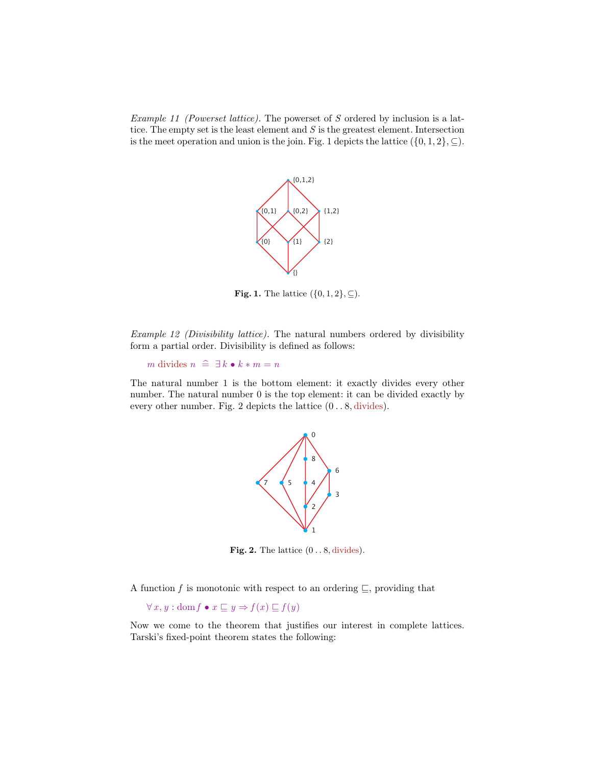Example 11 (Powerset lattice). The powerset of S ordered by inclusion is a lattice. The empty set is the least element and  $S$  is the greatest element. Intersection is the meet operation and union is the join. Fig. 1 depicts the lattice  $(\{0, 1, 2\}, \subseteq)$ .



Fig. 1. The lattice  $({0, 1, 2}, \subseteq)$ .

Example 12 (Divisibility lattice). The natural numbers ordered by divisibility form a partial order. Divisibility is defined as follows:

m divides  $n \hat{=} \exists k \bullet k * m = n$ 

The natural number 1 is the bottom element: it exactly divides every other number. The natural number 0 is the top element: it can be divided exactly by every other number. Fig. 2 depicts the lattice (0 . . 8, divides).



**Fig. 2.** The lattice  $(0 \dots 8, \text{divides}).$ 

A function  $f$  is monotonic with respect to an ordering  $\sqsubseteq,$  providing that

 $\forall x, y : \text{dom } f \bullet x \sqsubseteq y \Rightarrow f(x) \sqsubseteq f(y)$ 

Now we come to the theorem that justifies our interest in complete lattices. Tarski's fixed-point theorem states the following: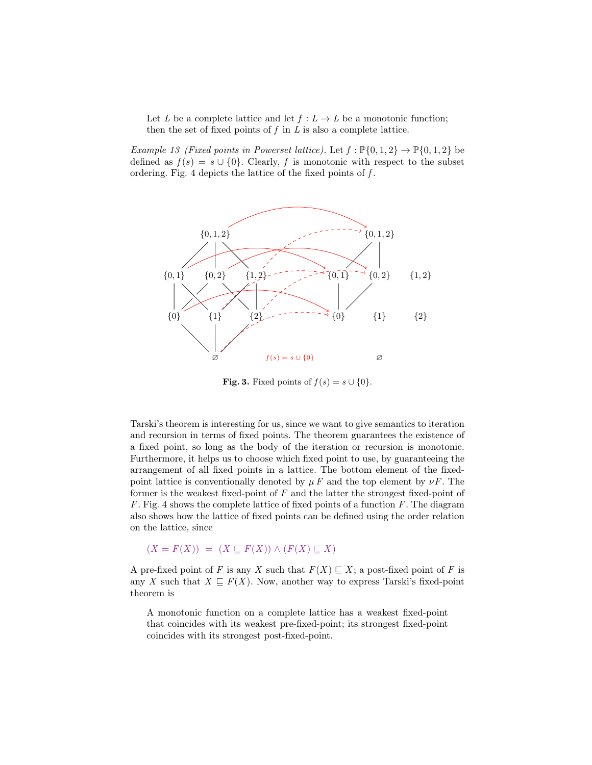Let L be a complete lattice and let  $f: L \to L$  be a monotonic function; then the set of fixed points of  $f$  in  $L$  is also a complete lattice.

Example 13 (Fixed points in Powerset lattice). Let  $f : \mathbb{P}\{0, 1, 2\} \to \mathbb{P}\{0, 1, 2\}$  be defined as  $f(s) = s \cup \{0\}$ . Clearly, f is monotonic with respect to the subset ordering. Fig. 4 depicts the lattice of the fixed points of  $f$ .



Fig. 3. Fixed points of  $f(s) = s \cup \{0\}.$ 

Tarski's theorem is interesting for us, since we want to give semantics to iteration and recursion in terms of fixed points. The theorem guarantees the existence of a fixed point, so long as the body of the iteration or recursion is monotonic. Furthermore, it helps us to choose which fixed point to use, by guaranteeing the arrangement of all fixed points in a lattice. The bottom element of the fixedpoint lattice is conventionally denoted by  $\mu F$  and the top element by  $\nu F$ . The former is the weakest fixed-point of  $F$  and the latter the strongest fixed-point of F. Fig. 4 shows the complete lattice of fixed points of a function F. The diagram also shows how the lattice of fixed points can be defined using the order relation on the lattice, since

$$
(X = F(X)) = (X \sqsubseteq F(X)) \land (F(X) \sqsubseteq X)
$$

A pre-fixed point of F is any X such that  $F(X) \sqsubseteq X$ ; a post-fixed point of F is any X such that  $X \subseteq F(X)$ . Now, another way to express Tarski's fixed-point theorem is

A monotonic function on a complete lattice has a weakest fixed-point that coincides with its weakest pre-fixed-point; its strongest fixed-point coincides with its strongest post-fixed-point.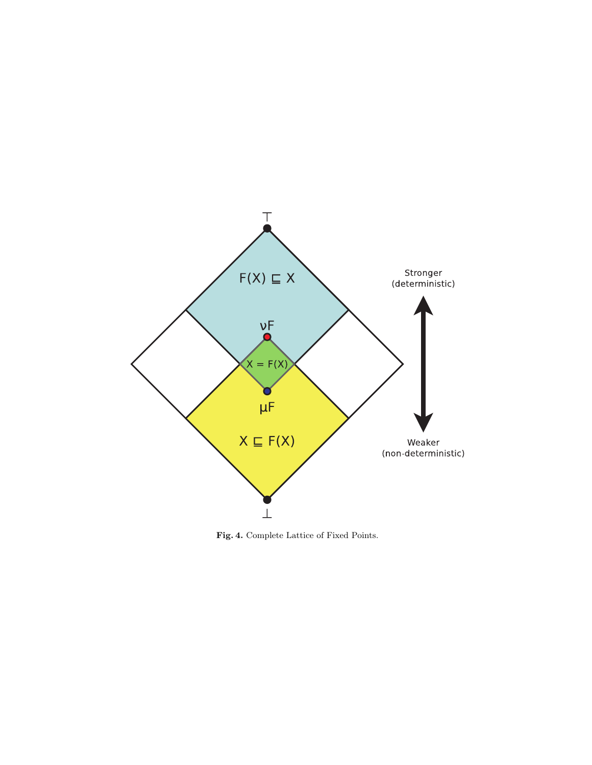

Fig. 4. Complete Lattice of Fixed Points.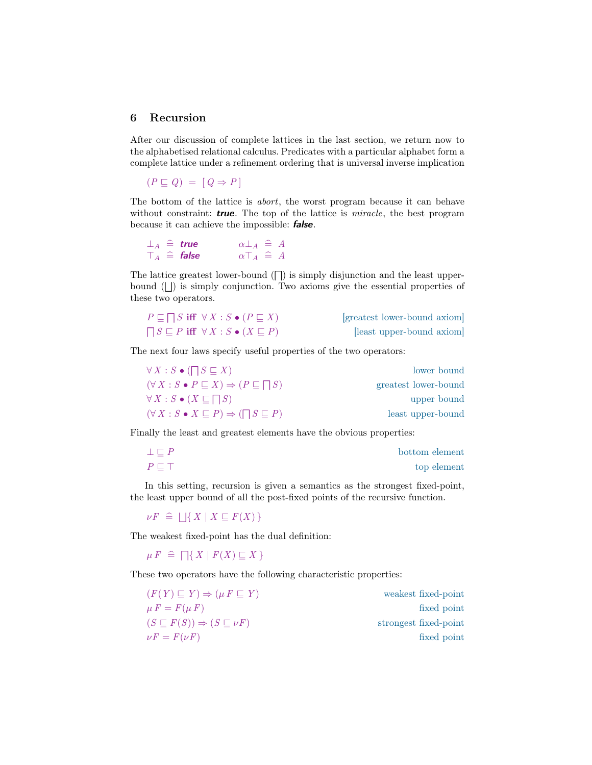#### 6 Recursion

After our discussion of complete lattices in the last section, we return now to the alphabetised relational calculus. Predicates with a particular alphabet form a complete lattice under a refinement ordering that is universal inverse implication

 $(P \sqsubseteq Q) = [Q \Rightarrow P]$ 

The bottom of the lattice is abort, the worst program because it can behave without constraint: **true**. The top of the lattice is  $\text{mincale}$ , the best program because it can achieve the impossible: false.

|  | $\perp_A \hat{=}$ true | $\alpha \perp_A \hat{=} A$ |  |
|--|------------------------|----------------------------|--|
|  | $T_A \triangleq$ false | $\alpha\top_A \hat{=} A$   |  |

The lattice greatest lower-bound  $(\bigcap)$  is simply disjunction and the least upperbound  $(\bigsqcup)$  is simply conjunction. Two axioms give the essential properties of these two operators.

| $P \sqsubseteq \bigcap S$ iff $\forall X : S \bullet (P \sqsubseteq X)$ | [greatest lower-bound axiom] |
|-------------------------------------------------------------------------|------------------------------|
| $\Box S \sqsubseteq P$ iff $\forall X : S \bullet (X \sqsubseteq P)$    | [least upper-bound axiom]    |

The next four laws specify useful properties of the two operators:

| $\forall X: S \bullet (\Box S \sqsubseteq X)$                                  | lower bound          |
|--------------------------------------------------------------------------------|----------------------|
| $(\forall X : S \bullet P \sqsubseteq X) \Rightarrow (P \sqsubseteq \sqcap S)$ | greatest lower-bound |
| $\forall X: S \bullet (X \sqsubseteq \sqcap S)$                                | upper bound          |
| $(\forall X : S \bullet X \sqsubseteq P) \Rightarrow (\Box S \sqsubseteq P)$   | least upper-bound    |

Finally the least and greatest elements have the obvious properties:

| $\bot \sqsubset P$ | bottom element |
|--------------------|----------------|
| $P \sqsubset \top$ | top element    |

In this setting, recursion is given a semantics as the strongest fixed-point, the least upper bound of all the post-fixed points of the recursive function.

 $\nu F \triangleq \bigsqcup \{ X \mid X \sqsubseteq F(X) \}$ 

The weakest fixed-point has the dual definition:

 $\mu F \ \widehat{=} \ \bigcap \{ X \mid F(X) \sqsubseteq X \}$ 

These two operators have the following characteristic properties:

| $(F(Y) \sqsubseteq Y) \Rightarrow (\mu F \sqsubseteq Y)$ | weakest fixed-point   |
|----------------------------------------------------------|-----------------------|
| $\mu F = F(\mu F)$                                       | fixed point           |
| $(S \sqsubseteq F(S)) \Rightarrow (S \sqsubseteq \nu F)$ | strongest fixed-point |
| $\nu F = F(\nu F)$                                       | fixed point           |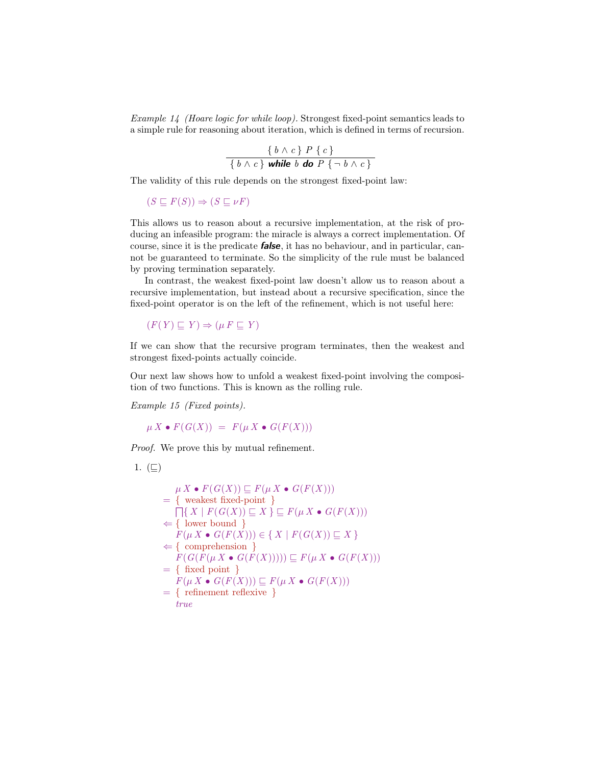Example 14 (Hoare logic for while loop). Strongest fixed-point semantics leads to a simple rule for reasoning about iteration, which is defined in terms of recursion.

$$
\frac{\{\,b \wedge c\,\} \,P\,\{\,c\,\}}{\{\,b \wedge c\,\}\ \text{while } b \text{ do } P\,\{\,\neg\,b \wedge c\,\}}
$$

The validity of this rule depends on the strongest fixed-point law:

 $(S \sqsubset F(S)) \Rightarrow (S \sqsubset \nu F)$ 

This allows us to reason about a recursive implementation, at the risk of producing an infeasible program: the miracle is always a correct implementation. Of course, since it is the predicate false, it has no behaviour, and in particular, cannot be guaranteed to terminate. So the simplicity of the rule must be balanced by proving termination separately.

In contrast, the weakest fixed-point law doesn't allow us to reason about a recursive implementation, but instead about a recursive specification, since the fixed-point operator is on the left of the refinement, which is not useful here:

 $(F(Y) \sqsubset Y) \Rightarrow (\mu F \sqsubset Y)$ 

If we can show that the recursive program terminates, then the weakest and strongest fixed-points actually coincide.

Our next law shows how to unfold a weakest fixed-point involving the composition of two functions. This is known as the rolling rule.

Example 15 (Fixed points).

 $\mu X \bullet F(G(X)) = F(\mu X \bullet G(F(X)))$ 

Proof. We prove this by mutual refinement.

1.  $(\sqsubseteq)$ 

$$
\mu X \bullet F(G(X)) \sqsubseteq F(\mu X \bullet G(F(X)))
$$
\n
$$
= \{ \text{ weakest fixed-point } \}
$$
\n
$$
\Box \{ X \mid F(G(X)) \sqsubseteq X \} \sqsubseteq F(\mu X \bullet G(F(X)))
$$
\n
$$
\Leftarrow \{ \text{ lower bound } \}
$$
\n
$$
F(\mu X \bullet G(F(X))) \in \{ X \mid F(G(X)) \sqsubseteq X \}
$$
\n
$$
\Leftarrow \{ \text{ comprehension } \}
$$
\n
$$
F(G(F(\mu X \bullet G(F(X)))) \sqsubseteq F(\mu X \bullet G(F(X))))
$$
\n
$$
= \{ \text{ fixed point } \}
$$
\n
$$
F(\mu X \bullet G(F(X))) \sqsubseteq F(\mu X \bullet G(F(X)))
$$
\n
$$
= \{ \text{ refinement relative } \}
$$
\n
$$
true
$$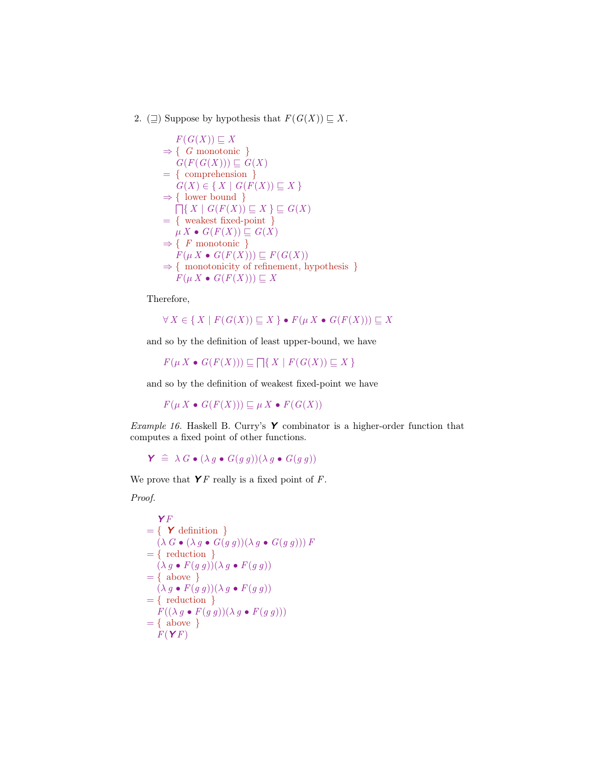2. ( $\supseteq$ ) Suppose by hypothesis that  $F(G(X)) \sqsubseteq X$ .

$$
F(G(X)) \subseteq X
$$
  
\n
$$
\Rightarrow \{ G \text{ monotonic } \}
$$
  
\n
$$
G(F(G(X))) \subseteq G(X)
$$
  
\n
$$
= \{ \text{ comprehension } \}
$$
  
\n
$$
G(X) \in \{ X \mid G(F(X)) \subseteq X \}
$$
  
\n
$$
\Rightarrow \{ \text{ lower bound } \}
$$
  
\n
$$
\bigcap \{ X \mid G(F(X)) \subseteq X \} \subseteq G(X)
$$
  
\n
$$
= \{ \text{ weakest fixed-point } \}
$$
  
\n
$$
\mu X \bullet G(F(X)) \subseteq G(X)
$$
  
\n
$$
\Rightarrow \{ F \text{ monotonic } \}
$$
  
\n
$$
F(\mu X \bullet G(F(X))) \subseteq F(G(X))
$$
  
\n
$$
\Rightarrow \{ \text{ monotonicity of refinement, hypothesis } \}
$$
  
\n
$$
F(\mu X \bullet G(F(X))) \subseteq X
$$

Therefore,

$$
\forall X \in \{ X \mid F(G(X)) \sqsubseteq X \} \bullet F(\mu X \bullet G(F(X))) \sqsubseteq X
$$

and so by the definition of least upper-bound, we have

 $F(\mu X \bullet G(F(X))) \sqsubseteq \bigcap \{ X \mid F(G(X)) \sqsubseteq X \}$ 

and so by the definition of weakest fixed-point we have

 $F(\mu X \bullet G(F(X))) \sqsubseteq \mu X \bullet F(G(X))$ 

Example 16. Haskell B. Curry's  $\boldsymbol{Y}$  combinator is a higher-order function that computes a fixed point of other functions.

 $\mathbf{Y} \triangleq \lambda G \bullet (\lambda g \bullet G(g g))(\lambda g \bullet G(g g))$ 

We prove that  $\mathbf{Y} F$  really is a fixed point of  $F$ .

Proof.

$$
\mathbf{Y}F
$$
\n=\n
$$
\{ \mathbf{Y} \text{ definition } \}
$$
\n
$$
(\lambda G \bullet (\lambda g \bullet G(g g))(\lambda g \bullet G(g g))) F
$$
\n=\n
$$
\{ \text{ reduction } \}
$$
\n
$$
(\lambda g \bullet F(g g))(\lambda g \bullet F(g g))
$$
\n=\n
$$
\{ \text{ above } \}
$$
\n
$$
(\lambda g \bullet F(g g))(\lambda g \bullet F(g g))
$$
\n=\n
$$
\{ \text{ reduction } \}
$$
\n
$$
F((\lambda g \bullet F(g g))(\lambda g \bullet F(g g)))
$$
\n=\n
$$
\{ \text{ above } \}
$$
\n
$$
F(\mathbf{Y}F)
$$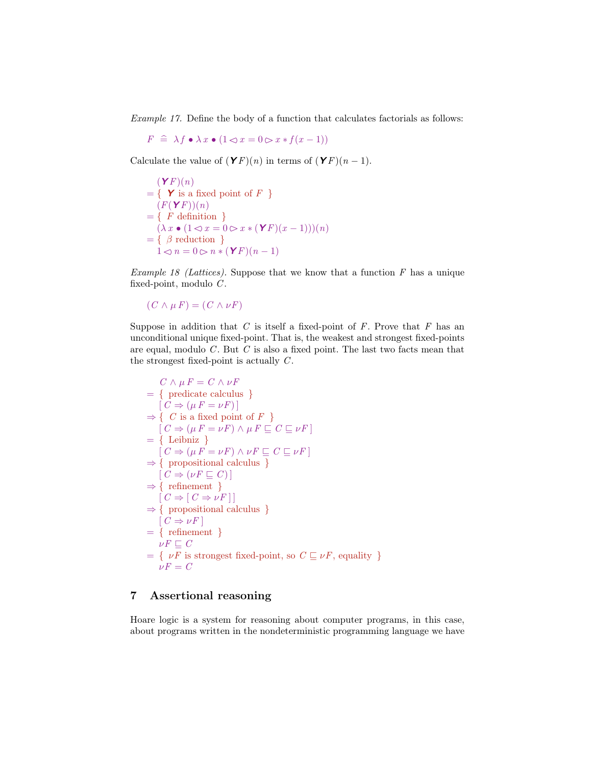Example 17. Define the body of a function that calculates factorials as follows:

$$
F \ \widehat{=} \ \lambda f \bullet \lambda x \bullet (1 \triangleleft x = 0 \triangleright x * f(x - 1))
$$

Calculate the value of  $(\mathbf{Y} F)(n)$  in terms of  $(\mathbf{Y} F)(n-1)$ .

$$
(\mathbf{Y}F)(n)
$$
  
= {  $\mathbf{Y}$  is a fixed point of  $F$  }  
( $F(\mathbf{Y}F)$ )(n)  
= {  $F$  definition }  
( $\lambda x \cdot (1 \le x = 0 \le x * (\mathbf{Y}F)(x-1)))(n)$   
= {  $\beta$  reduction }  
1  $\le n = 0 \le n * (\mathbf{Y}F)(n-1)$ 

Example 18 (Lattices). Suppose that we know that a function  $F$  has a unique fixed-point, modulo  $C$ .

 $(C \wedge \mu F) = (C \wedge \nu F)$ 

Suppose in addition that  $C$  is itself a fixed-point of  $F$ . Prove that  $F$  has an unconditional unique fixed-point. That is, the weakest and strongest fixed-points are equal, modulo  $C$ . But  $C$  is also a fixed point. The last two facts mean that the strongest fixed-point is actually  $C$ .

$$
C \wedge \mu F = C \wedge \nu F
$$
  
= { predicate calculus }  
[ C \Rightarrow ( \mu F = \nu F )]  
 $\Rightarrow$  { C is a fixed point of F }  
[ C \Rightarrow ( \mu F = \nu F ) \wedge \mu F \subseteq C \subseteq \nu F ]  
= { Leibniz }  
[ C \Rightarrow ( \mu F = \nu F ) \wedge \nu F \subseteq C \subseteq \nu F ]  
 $\Rightarrow$  { propositional calculus }  
[ C \Rightarrow ( \nu F \subseteq C )]  
 $\Rightarrow$  { refinement }  
[ C \Rightarrow ( C \Rightarrow \nu F ]]  
 $\Rightarrow$  { propositional calculus }  
[ C \Rightarrow \nu F ]  
= { refinement }  
 $\nu F \subseteq C$   
= {  $\nu F$  is strongest fixed-point, so  $C \subseteq \nu F$ , equality }  
 $\nu F = C$ 

## 7 Assertional reasoning

Hoare logic is a system for reasoning about computer programs, in this case, about programs written in the nondeterministic programming language we have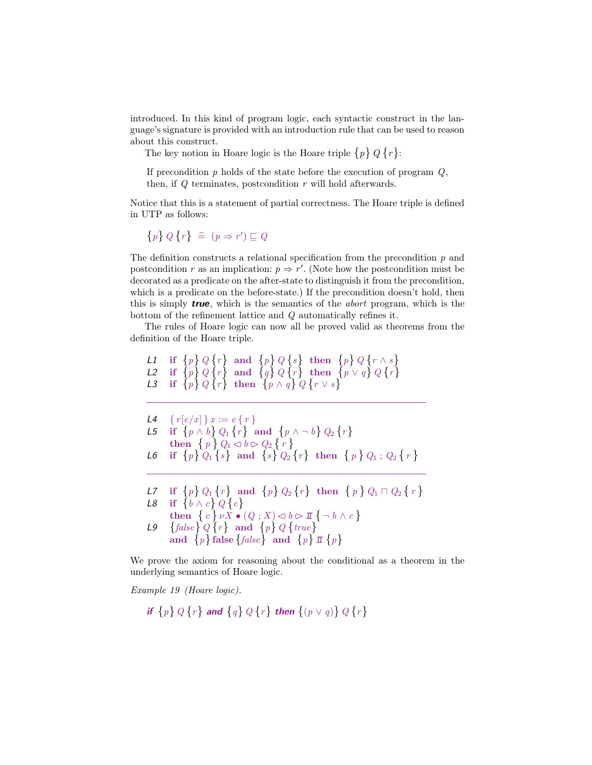introduced. In this kind of program logic, each syntactic construct in the language's signature is provided with an introduction rule that can be used to reason about this construct.

The key notion in Hoare logic is the Hoare triple  $\{p\} Q \{r\}$ :

If precondition  $p$  holds of the state before the execution of program  $Q$ , then, if  $Q$  terminates, postcondition  $r$  will hold afterwards.

Notice that this is a statement of partial correctness. The Hoare triple is defined in UTP as follows:

$$
\{p\} \ Q \{r\} \ \widehat{=} \ (p \Rightarrow r') \sqsubseteq Q
$$

The definition constructs a relational specification from the precondition  $p$  and postcondition r as an implication:  $p \Rightarrow r'$ . (Note how the postcondition must be decorated as a predicate on the after-state to distinguish it from the precondition, which is a predicate on the before-state.) If the precondition doesn't hold, then this is simply **true**, which is the semantics of the *abort* program, which is the bottom of the refinement lattice and Q automatically refines it.

The rules of Hoare logic can now all be proved valid as theorems from the definition of the Hoare triple.

L1 if  $\{p\} \, Q \, \{r\}$  and  $\{p\} \, Q \, \{s\}$  then  $\{p\} \, Q \, \{r \wedge s\}$  $\begin{array}{ccc} \mathsf{L2} & \text{if } \{p\} \mathrel{Q} \{r\} & \text{and } \{q\} \mathrel{Q} \{r\} & \text{then } \{p \vee q\} \mathrel{Q} \{r\} \end{array}$ L3 if  ${p} Q {r}$  then  ${p \wedge q} Q {r \vee s}$  $L4 \quad \{r[e/x]\}\, x := e\{r\}$ L5 if  $\{p \wedge b\} \ Q_1 \{r\}$  and  $\{p \wedge \neg b\} \ Q_2 \{r\}$ then  $\{p\} Q_1 \triangleleft b \triangleright Q_2 \{r\}$ <br>
L6 if  $\{p\} Q_1 \{s\}$  and  $\{s\} Q_2 \{r\}$  then  $\{p\} Q_1$ ;  $Q_2 \{r\}$  $\begin{array}{ll} \textsf{L7} & \text{if } \{p\} \; Q_1 \, \{r\} \; \text{ and } \; \{p\} \; Q_2 \, \{r\} \; \text{ then } \; \{ \, p \, \} \; Q_1 \sqcap Q_2 \, \{ \, r \, \} \end{array}$ L8 if  $\{b \wedge c\} Q \{c\}$ then  $\{ c \} \nu X \bullet (Q; X) \diamond b \diamond \mathbb{I} \{ \neg b \wedge c \}$ <br>
L9  $\{false\} Q \{r\}$  and  $\{p\} Q \{true\}$  $\text{and} \;\; \{p\} \;\text{false} \{ \text{false} \} \;\; \text{and} \;\; \{p\} \;\text{If} \; \{p\}$ 

We prove the axiom for reasoning about the conditional as a theorem in the underlying semantics of Hoare logic.

Example 19 (Hoare logic).

if  $\{p\} Q \{r\}$  and  $\{q\} Q \{r\}$  then  $\{(p \vee q)\} Q \{r\}$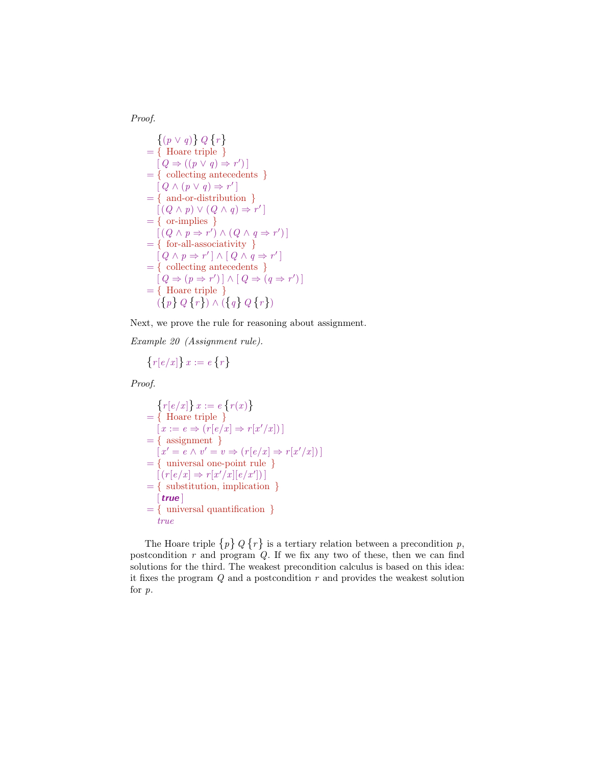Proof.

$$
\begin{array}{l} \left\{(p\vee q)\right\}Q\left\{r\right\} \\ =\left\{\begin{array}{l} \text{Hoare triple } \\ \left[Q\Rightarrow\left((p\vee q)\Rightarrow r'\right)\right] \\ =\left\{\begin{array}{l} \text{collecting antecedents } \\ \left[Q\wedge\left(p\vee q\right)\Rightarrow r'\right] \\ =\left\{\begin{array}{l} \text{and-or-distribution }\\ \left[(Q\wedge p)\vee\left(Q\wedge q\right)\Rightarrow r'\right] \\ =\left\{\begin{array}{l} \text{or-implies }\\ \left[(Q\wedge p\Rightarrow r')\wedge\left(Q\wedge q\Rightarrow r'\right)\right] \\ =\left\{\begin{array}{l} \text{for-all-associativity }\\ \left[Q\wedge p\Rightarrow r'\right]\wedge\left[Q\wedge q\Rightarrow r'\right] \\ =\left\{\begin{array}{l} \text{collecting antecedents }\\ \left[Q\Rightarrow\left(p\Rightarrow r'\right)\right]\wedge\left[Q\Rightarrow\left(q\Rightarrow r'\right)\right] \\ =\left\{\begin{array}{l} \text{Hoare triple }\\ \left\{\begin{array}{l} \text{Hoare triple }\\ \left\{q\right\}Q\left\{r\right\}\right\}\wedge\left\{q\right\}Q\left\{r\right\}\end{array}\right\} \end{array}\right. \end{array}
$$

Next, we prove the rule for reasoning about assignment.

Example 20 (Assignment rule).

 ${r[e/x]}$   $x := e {r}$ 

Proof.

$$
\begin{aligned}\n&\left\{r[e/x]\right\}x := e\left\{r(x)\right\} \\
&= \left\{\begin{array}{l}\n\text{Hoare triple }\\
\left[x := e \Rightarrow (r[e/x] \Rightarrow r[x'/x])\right]\n\end{array}\right. \\
&= \left\{\begin{array}{l}\n\text{assignment }\\
\left[x' = e \land v' = v \Rightarrow (r[e/x] \Rightarrow r[x'/x])\right]\n\end{array}\right. \\
&= \left\{\begin{array}{l}\n\text{universal one-point rule }\\
\left[\left(r[e/x] \Rightarrow r[x'/x][e/x']\right)\right]\n\end{array}\right. \\
&= \left\{\begin{array}{l}\n\text{substitution, implication }\\
\left[\text{true}\right]\n\end{array}\right.\n\end{aligned}
$$

The Hoare triple  ${p} Q {r}$  is a tertiary relation between a precondition p, postcondition r and program  $Q$ . If we fix any two of these, then we can find solutions for the third. The weakest precondition calculus is based on this idea: it fixes the program  $Q$  and a postcondition  $r$  and provides the weakest solution for p.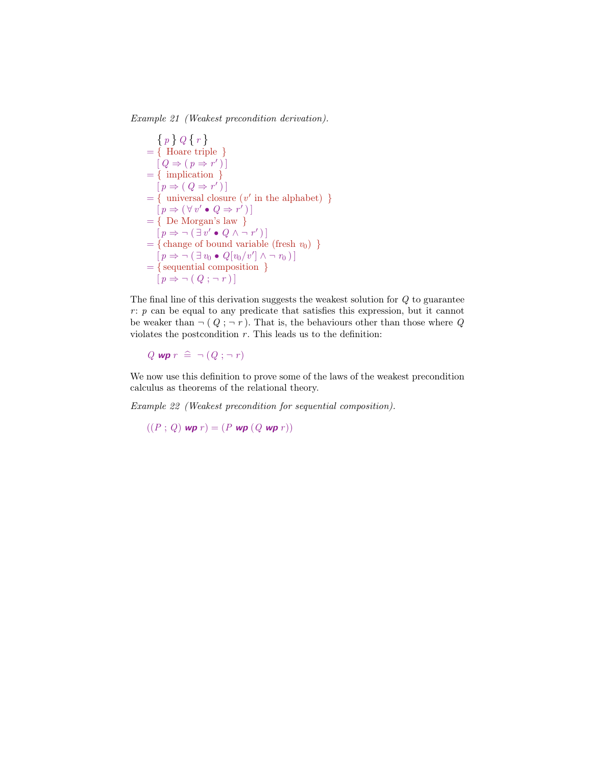Example 21 (Weakest precondition derivation).

$$
\{p\} Q \{r\}
$$
\n
$$
= \{ \text{ Hoare triple } \}
$$
\n
$$
[Q \Rightarrow (p \Rightarrow r')]
$$
\n
$$
= \{ \text{ implication } \}
$$
\n
$$
[p \Rightarrow (Q \Rightarrow r')]
$$
\n
$$
= \{ \text{ universal closure } (v' \text{ in the alphabet}) \}
$$
\n
$$
[p \Rightarrow (\forall v' \bullet Q \Rightarrow r')]
$$
\n
$$
= \{ \text{ De Morgan's law } \}
$$
\n
$$
[p \Rightarrow \neg (\exists v' \bullet Q \land \neg r')]
$$
\n
$$
= \{ \text{ change of bound variable (fresh } v_0) \}
$$
\n
$$
[p \Rightarrow \neg (\exists v_0 \bullet Q[v_0/v'] \land \neg r_0)]
$$
\n
$$
= \{ \text{sequential composition } \}
$$
\n
$$
[p \Rightarrow \neg (Q; \neg r)]
$$

The final line of this derivation suggests the weakest solution for Q to guarantee  $r: p$  can be equal to any predicate that satisfies this expression, but it cannot be weaker than  $\neg (Q; \neg r)$ . That is, the behaviours other than those where Q violates the postcondition  $r$ . This leads us to the definition:

Q wp  $r \triangleq \neg (Q; \neg r)$ 

We now use this definition to prove some of the laws of the weakest precondition calculus as theorems of the relational theory.

Example 22 (Weakest precondition for sequential composition).

 $((P; Q)$  wp  $r) = (P$  wp  $(Q$  wp  $r))$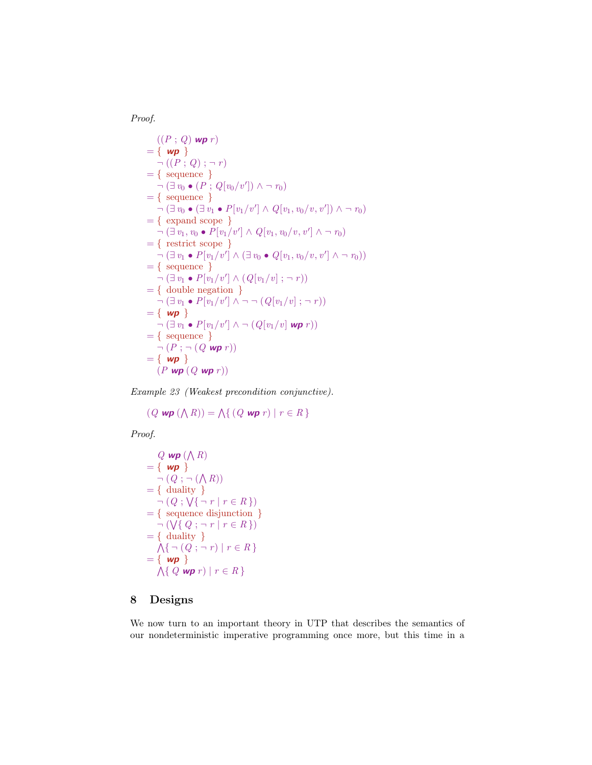Proof.

$$
((P; Q) \text{ wp } r)
$$
\n
$$
= \{ \text{ wp } \}
$$
\n
$$
\neg ((P; Q); \neg r)
$$
\n
$$
= \{ \text{ sequence } \}
$$
\n
$$
\neg (\exists v_0 \bullet (P; Q[v_0/v']) \land \neg r_0)
$$
\n
$$
= \{ \text{ sequence } \}
$$
\n
$$
\neg (\exists v_0 \bullet (\exists v_1 \bullet P[v_1/v'] \land Q[v_1, v_0/v, v']) \land \neg r_0)
$$
\n
$$
= \{ \text{ expand scope } \}
$$
\n
$$
\neg (\exists v_1, v_0 \bullet P[v_1/v'] \land Q[v_1, v_0/v, v'] \land \neg r_0)
$$
\n
$$
= \{ \text{ restrict scope } \}
$$
\n
$$
\neg (\exists v_1 \bullet P[v_1/v'] \land (\exists v_0 \bullet Q[v_1, v_0/v, v'] \land \neg r_0))
$$
\n
$$
= \{ \text{ sequence } \}
$$
\n
$$
\neg (\exists v_1 \bullet P[v_1/v'] \land (Q[v_1/v]; \neg r))
$$
\n
$$
= \{ \text{ double negation } \}
$$
\n
$$
\neg (\exists v_1 \bullet P[v_1/v'] \land \neg (Q[v_1/v]; \neg r))
$$
\n
$$
= \{ \text{ wp } \}
$$
\n
$$
\neg (\exists v_1 \bullet P[v_1/v'] \land \neg (Q[v_1/v]; \neg r))
$$
\n
$$
= \{ \text{ sequence } \}
$$
\n
$$
\neg (P; \neg (Q \text{ wp } r))
$$
\n
$$
= \{ \text{ wp } \}
$$
\n
$$
(P \text{ wp } (Q \text{ wp } r))
$$

Example 23 (Weakest precondition conjunctive).

$$
(Q \text{ wp } (\bigwedge R)) = \bigwedge \{ (Q \text{ wp } r) \mid r \in R \}
$$

Proof.

$$
Q \text{ wp } (\bigwedge R)
$$
  
= { wp }  

$$
\neg (Q; \neg (\bigwedge R))
$$
  
= { duality }  

$$
\neg (Q; \bigvee \{\neg r \mid r \in R \})
$$
  
= { sequence disjunction }  

$$
\neg (\bigvee \{Q; \neg r \mid r \in R \})
$$
  
= { duality }  

$$
\bigwedge \{\neg (Q; \neg r) \mid r \in R \}
$$
  
= { wp }  

$$
\bigwedge \{Q \text{ wp } r \mid r \in R \}
$$

## 8 Designs

We now turn to an important theory in UTP that describes the semantics of our nondeterministic imperative programming once more, but this time in a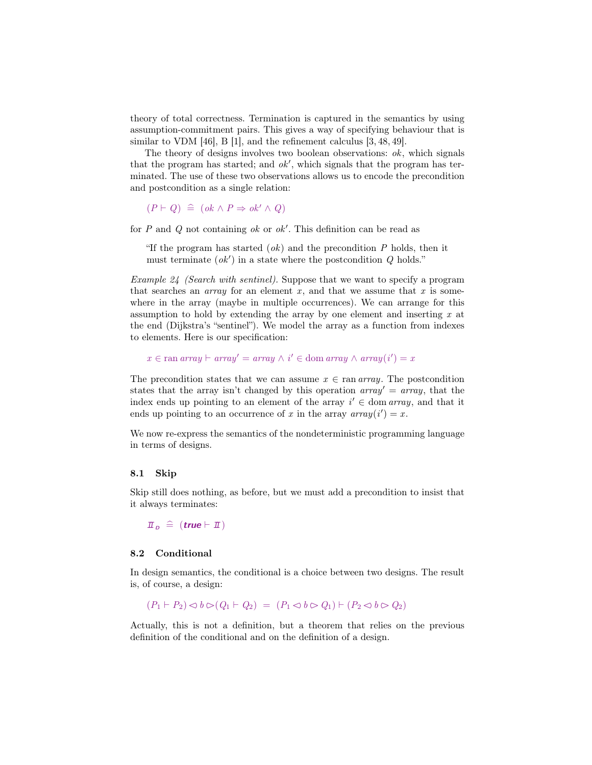theory of total correctness. Termination is captured in the semantics by using assumption-commitment pairs. This gives a way of specifying behaviour that is similar to VDM [46], B [1], and the refinement calculus [3, 48, 49].

The theory of designs involves two boolean observations:  $ok$ , which signals that the program has started; and ok′ , which signals that the program has terminated. The use of these two observations allows us to encode the precondition and postcondition as a single relation:

 $(P \vdash Q) \triangleq (ok \land P \Rightarrow ok' \land Q)$ 

for  $P$  and  $Q$  not containing ok or ok'. This definition can be read as

"If the program has started  $(ok)$  and the precondition  $P$  holds, then it must terminate  $(ok')$  in a state where the postcondition  $Q$  holds."

Example 24 (Search with sentinel). Suppose that we want to specify a program that searches an *array* for an element  $x$ , and that we assume that  $x$  is somewhere in the array (maybe in multiple occurrences). We can arrange for this assumption to hold by extending the array by one element and inserting  $x$  at the end (Dijkstra's "sentinel"). We model the array as a function from indexes to elements. Here is our specification:

```
x \in \text{ran array} \vdash array' = array \land i' \in \text{dom array} \land array(i') = x
```
The precondition states that we can assume  $x \in \text{ran } \text{array}$ . The postcondition states that the array isn't changed by this operation  $array' = array$ , that the index ends up pointing to an element of the array  $i' \in \text{dom array}$ , and that it ends up pointing to an occurrence of x in the array  $array(i') = x$ .

We now re-express the semantics of the nondeterministic programming language in terms of designs.

#### 8.1 Skip

Skip still does nothing, as before, but we must add a precondition to insist that it always terminates:

 $\pi_{\scriptscriptstyle D} \hat{=}$  (true  $\vdash \pi$ )

#### 8.2 Conditional

In design semantics, the conditional is a choice between two designs. The result is, of course, a design:

```
(P_1 \rhd P_2) \triangleleft b \bigcirc (Q_1 \rhd Q_2) = (P_1 \triangleleft b \bigcirc Q_1) \rhd (P_2 \triangleleft b \bigcirc Q_2)
```
Actually, this is not a definition, but a theorem that relies on the previous definition of the conditional and on the definition of a design.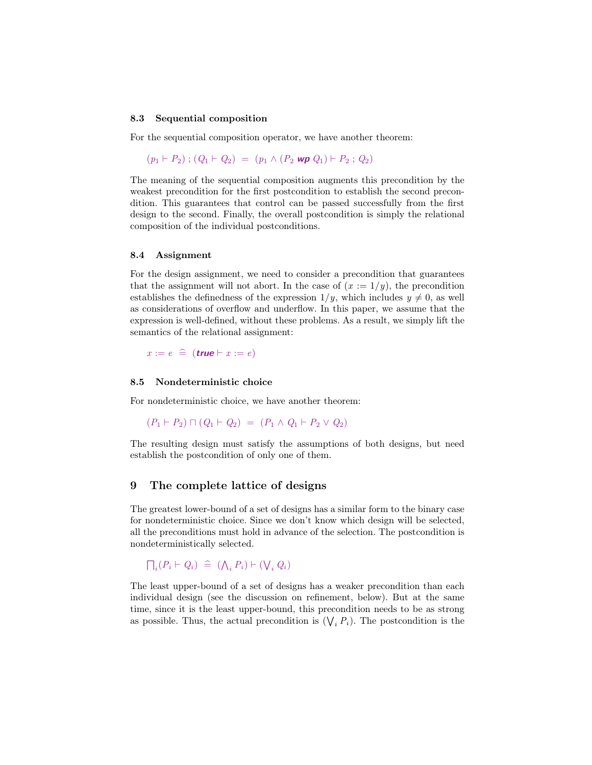#### 8.3 Sequential composition

For the sequential composition operator, we have another theorem:

 $(p_1 \vdash P_2)$ ;  $(Q_1 \vdash Q_2) = (p_1 \land (P_2 \text{ wp } Q_1) \vdash P_2$ ;  $Q_2)$ 

The meaning of the sequential composition augments this precondition by the weakest precondition for the first postcondition to establish the second precondition. This guarantees that control can be passed successfully from the first design to the second. Finally, the overall postcondition is simply the relational composition of the individual postconditions.

#### 8.4 Assignment

For the design assignment, we need to consider a precondition that guarantees that the assignment will not abort. In the case of  $(x := 1/y)$ , the precondition establishes the definedness of the expression  $1/y$ , which includes  $y \neq 0$ , as well as considerations of overflow and underflow. In this paper, we assume that the expression is well-defined, without these problems. As a result, we simply lift the semantics of the relational assignment:

 $x := e \triangleq$  (true  $\vdash x := e$ )

#### 8.5 Nondeterministic choice

For nondeterministic choice, we have another theorem:

 $(P_1 \vdash P_2) \sqcap (Q_1 \vdash Q_2) = (P_1 \wedge Q_1 \vdash P_2 \vee Q_2)$ 

The resulting design must satisfy the assumptions of both designs, but need establish the postcondition of only one of them.

#### 9 The complete lattice of designs

The greatest lower-bound of a set of designs has a similar form to the binary case for nondeterministic choice. Since we don't know which design will be selected, all the preconditions must hold in advance of the selection. The postcondition is nondeterministically selected.

 $\prod_i (P_i \vdash Q_i) \ \widehat{=} \ (\bigwedge_i P_i) \vdash (\bigvee_i Q_i)$ 

The least upper-bound of a set of designs has a weaker precondition than each individual design (see the discussion on refinement, below). But at the same time, since it is the least upper-bound, this precondition needs to be as strong as possible. Thus, the actual precondition is  $(\bigvee_i P_i)$ . The postcondition is the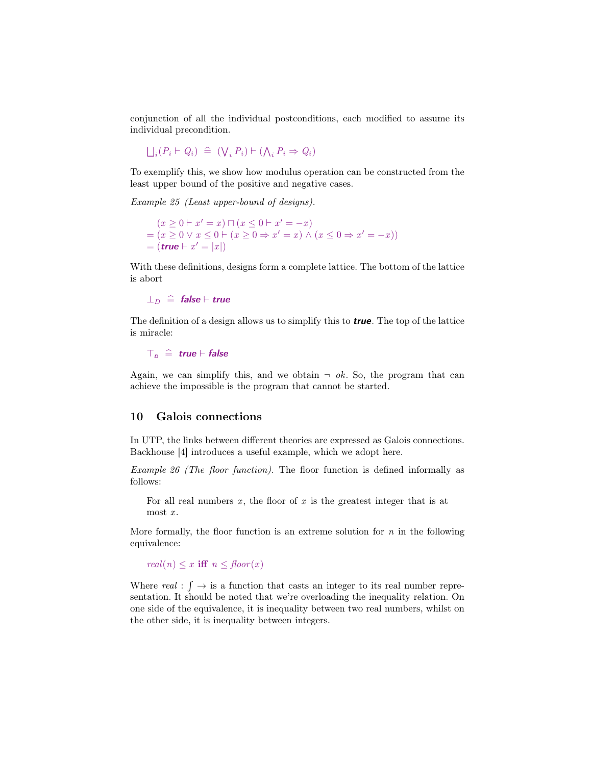conjunction of all the individual postconditions, each modified to assume its individual precondition.

 $\bigsqcup_i (P_i \vdash Q_i) \ \widehat{=} \ \left( \bigvee_i P_i \right) \vdash \left( \bigwedge_i P_i \Rightarrow Q_i \right)$ 

To exemplify this, we show how modulus operation can be constructed from the least upper bound of the positive and negative cases.

Example 25 (Least upper-bound of designs).

$$
(x \ge 0 \mid x' = x) \sqcap (x \le 0 \mid x' = -x)
$$
  
= 
$$
(x \ge 0 \lor x \le 0 \mid (x \ge 0 \Rightarrow x' = x) \land (x \le 0 \Rightarrow x' = -x))
$$
  
= 
$$
(\text{true} \mid x' = |x|)
$$

With these definitions, designs form a complete lattice. The bottom of the lattice is abort

$$
\perp_D \hat{=} \mathit{false} \vdash \mathit{true}
$$

The definition of a design allows us to simplify this to **true**. The top of the lattice is miracle:

 $\top_{\scriptscriptstyle D} \hat{=}$  true ⊢ false

Again, we can simplify this, and we obtain  $\neg$  ok. So, the program that can achieve the impossible is the program that cannot be started.

## 10 Galois connections

In UTP, the links between different theories are expressed as Galois connections. Backhouse [4] introduces a useful example, which we adopt here.

Example 26 (The floor function). The floor function is defined informally as follows:

For all real numbers  $x$ , the floor of  $x$  is the greatest integer that is at most  $x$ .

More formally, the floor function is an extreme solution for  $n$  in the following equivalence:

 $real(n) \leq x$  iff  $n \leq floor(x)$ 

Where real :  $\int \rightarrow$  is a function that casts an integer to its real number representation. It should be noted that we're overloading the inequality relation. On one side of the equivalence, it is inequality between two real numbers, whilst on the other side, it is inequality between integers.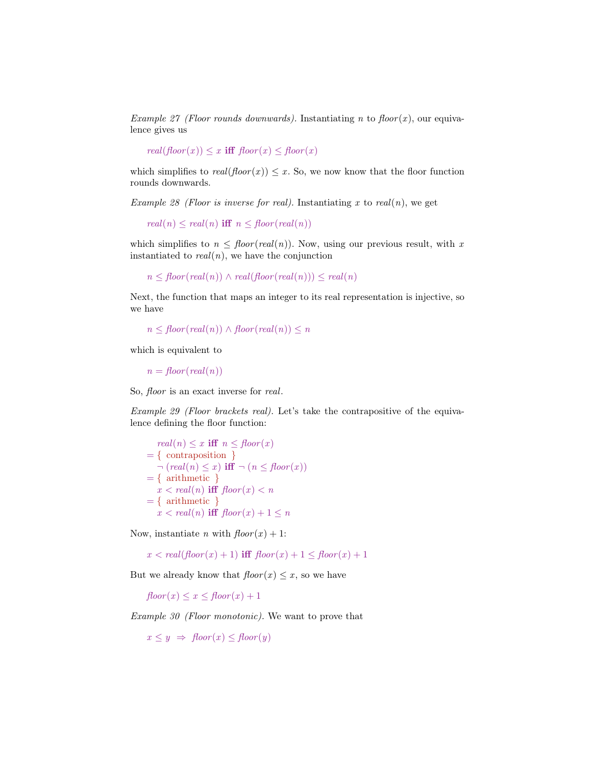Example 27 (Floor rounds downwards). Instantiating n to  $floor(x)$ , our equivalence gives us

 $real(floor(x)) \leq x$  iff  $floor(x) \leq floor(x)$ 

which simplifies to  $real(floor(x)) \leq x$ . So, we now know that the floor function rounds downwards.

Example 28 (Floor is inverse for real). Instantiating x to real(n), we get

 $real(n) \leq real(n)$  iff  $n \leq floor-real(n)$ 

which simplifies to  $n \leq \text{floor}(\text{real}(n))$ . Now, using our previous result, with x instantiated to  $real(n)$ , we have the conjunction

 $n \leq floor(\text{real}(n)) \wedge \text{real}(\text{floor}(\text{real}(n))) \leq \text{real}(n)$ 

Next, the function that maps an integer to its real representation is injective, so we have

 $n \leq floor(\text{real}(n)) \wedge floor(\text{real}(n)) \leq n$ 

which is equivalent to

 $n = floor (real(n))$ 

So, floor is an exact inverse for real.

Example 29 (Floor brackets real). Let's take the contrapositive of the equivalence defining the floor function:

 $real(n) \leq x$  iff  $n \leq floor(x)$  $=\{$  contraposition  $\}$  $\neg$  (real(n)  $\leq x$ ) iff  $\neg$  (n  $\leq$  floor(x))  $= \{$  arithmetic  $\}$  $x < real(n)$  iff  $floor(x) < n$  $= \{$  arithmetic  $\}$  $x < real(n)$  iff  $floor(x) + 1 \leq n$ 

Now, instantiate *n* with  $floor(x) + 1$ :

 $x < real(floor(x) + 1)$  iff  $floor(x) + 1 \leq floor(x) + 1$ 

But we already know that  $floor(x) \leq x$ , so we have

 $floor(x) \leq x \leq floor(x) + 1$ 

Example 30 (Floor monotonic). We want to prove that

 $x \leq y \Rightarrow floor(x) \leq floor(y)$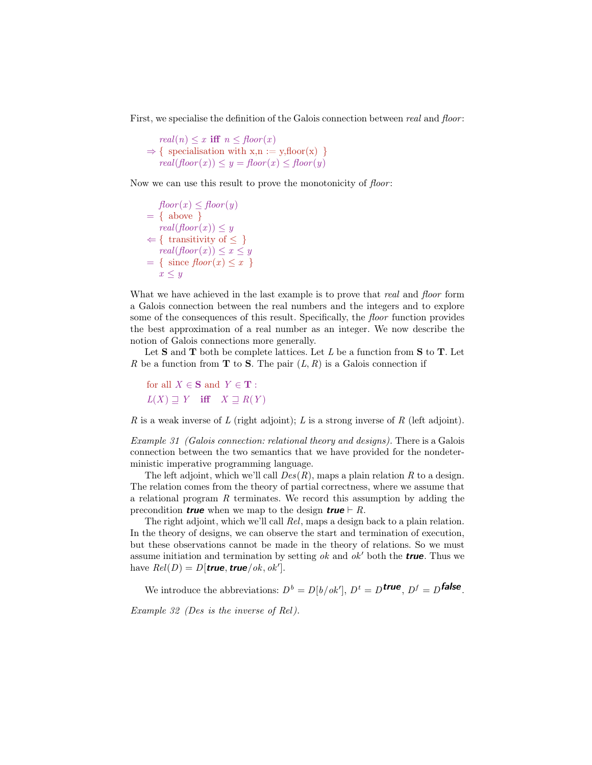First, we specialise the definition of the Galois connection between real and floor:

 $real(n) \leq x$  iff  $n \leq floor(x)$  $\Rightarrow$  { specialisation with x,n := y,floor(x) }  $real(floor(x)) \leq y = floor(x) \leq floor(y)$ 

Now we can use this result to prove the monotonicity of floor:

 $floor(x) \leq floor(y)$  $= \{ \text{ above } \}$  $real(floor(x)) \leq y$  $\Leftarrow \{$  transitivity of  $\leq \}$  $real(floor(x)) \leq x \leq y$  $= \{ \text{ since } \n\phi \circ \widehat{r(x)} \leq \widehat{x} \}$  $x \leq y$ 

What we have achieved in the last example is to prove that real and floor form a Galois connection between the real numbers and the integers and to explore some of the consequences of this result. Specifically, the *floor* function provides the best approximation of a real number as an integer. We now describe the notion of Galois connections more generally.

Let  $S$  and  $T$  both be complete lattices. Let  $L$  be a function from  $S$  to  $T$ . Let R be a function from **T** to **S**. The pair  $(L, R)$  is a Galois connection if

for all  $X \in \mathbf{S}$  and  $Y \in \mathbf{T}$ :  $L(X) \sqsupseteq Y$  iff  $X \sqsupseteq R(Y)$ 

R is a weak inverse of L (right adjoint); L is a strong inverse of R (left adjoint).

Example 31 (Galois connection: relational theory and designs). There is a Galois connection between the two semantics that we have provided for the nondeterministic imperative programming language.

The left adjoint, which we'll call  $Des(R)$ , maps a plain relation R to a design. The relation comes from the theory of partial correctness, where we assume that a relational program  $R$  terminates. We record this assumption by adding the precondition *true* when we map to the design *true*  $\vdash R$ .

The right adjoint, which we'll call Rel, maps a design back to a plain relation. In the theory of designs, we can observe the start and termination of execution, but these observations cannot be made in the theory of relations. So we must assume initiation and termination by setting  $ok$  and  $ok'$  both the **true**. Thus we have  $Rel(D) = D[$ true, true/ok, ok'].

We introduce the abbreviations:  $D^b = D[b/ok']$ ,  $D^t = D$ **true**,  $D^f = D$ **false**.

Example 32 (Des is the inverse of Rel ).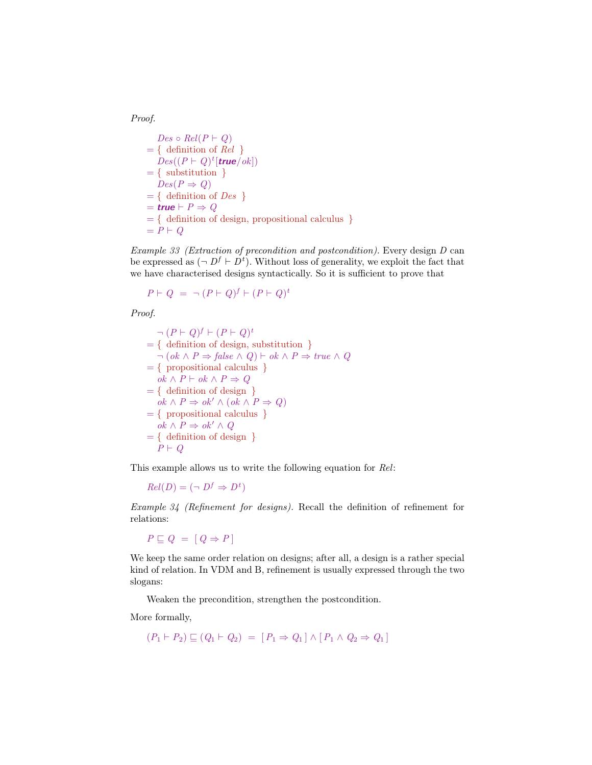Proof.

 $Des \circ Rel(P \vdash Q)$  $= \{$  definition of Rel  $\}$  $Des((P \vdash Q)^t[\text{true}/ok])$  $= \{$  substitution  $\}$  $Des(P \Rightarrow Q)$  $=\{$  definition of  $Des \}$  $=$  true  $\vdash P \Rightarrow Q$  $=$  { definition of design, propositional calculus }  $= P \vdash Q$ 

Example 33 (Extraction of precondition and postcondition). Every design D can be expressed as  $(\neg D^f \vdash D^t)$ . Without loss of generality, we exploit the fact that we have characterised designs syntactically. So it is sufficient to prove that

 $P \vdash Q = \neg (P \vdash Q)^f \vdash (P \vdash Q)^t$ 

Proof.

$$
\neg (P \vdash Q)^f \vdash (P \vdash Q)^t
$$
\n
$$
= \{ \text{ definition of design, substitution } \}
$$
\n
$$
\neg (ok \land P \Rightarrow false \land Q) \vdash ok \land P \Rightarrow true \land Q
$$
\n
$$
= \{ \text{ propositional calculus } \}
$$
\n
$$
ok \land P \vdash ok \land P \Rightarrow Q
$$
\n
$$
= \{ \text{ definition of design } \}
$$
\n
$$
ok \land P \Rightarrow ok' \land (ok \land P \Rightarrow Q)
$$
\n
$$
= \{ \text{ propositional calculus } \}
$$
\n
$$
ok \land P \Rightarrow ok' \land Q
$$
\n
$$
= \{ \text{ definition of design } \}
$$
\n
$$
P \vdash Q
$$

This example allows us to write the following equation for Rel:

 $Rel(D) = (\neg D^f \Rightarrow D^t)$ 

Example 34 (Refinement for designs). Recall the definition of refinement for relations:

 $P \sqsubseteq Q = [Q \Rightarrow P]$ 

We keep the same order relation on designs; after all, a design is a rather special kind of relation. In VDM and B, refinement is usually expressed through the two slogans:

Weaken the precondition, strengthen the postcondition.

More formally,

$$
(P_1 \vdash P_2) \sqsubseteq (Q_1 \vdash Q_2) = [P_1 \Rightarrow Q_1] \land [P_1 \land Q_2 \Rightarrow Q_1]
$$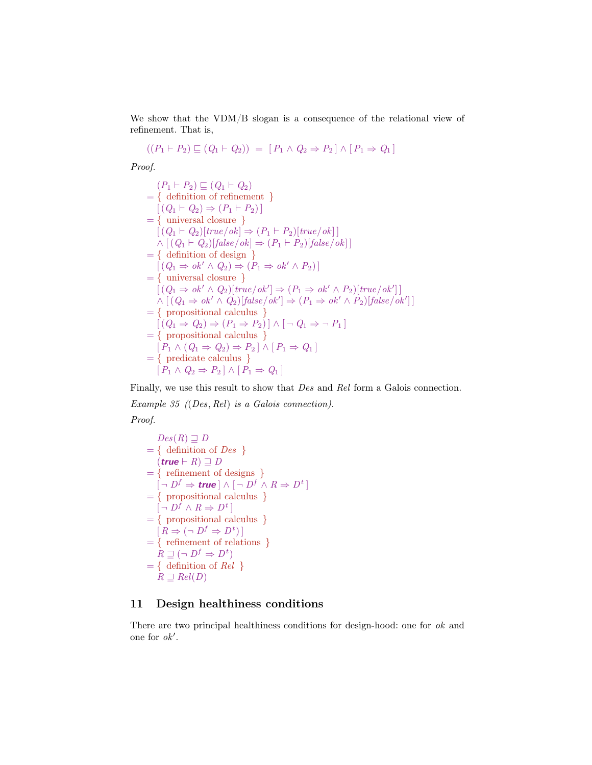We show that the VDM/B slogan is a consequence of the relational view of refinement. That is,

$$
((P_1 \vdash P_2) \sqsubseteq (Q_1 \vdash Q_2)) = [P_1 \land Q_2 \Rightarrow P_2] \land [P_1 \Rightarrow Q_1]
$$

Proof.

$$
(P_1 \vdash P_2) \sqsubseteq (Q_1 \vdash Q_2)
$$
  
= { definition of refinement }  
\n
$$
[(Q_1 \vdash Q_2) \Rightarrow (P_1 \vdash P_2)]
$$
  
= { universal closure }  
\n
$$
[(Q_1 \vdash Q_2)[true/ok] \Rightarrow (P_1 \vdash P_2)[true/ok]]
$$
  

$$
\wedge [(Q_1 \vdash Q_2)[false/ok] \Rightarrow (P_1 \vdash P_2)[false/ok]]
$$
  
= { definition of design }  
\n
$$
[(Q_1 \Rightarrow ok' \land Q_2) \Rightarrow (P_1 \Rightarrow ok' \land P_2)]
$$
  
= { universal closure }  
\n
$$
[(Q_1 \Rightarrow ok' \land Q_2)[true/ok'] \Rightarrow (P_1 \Rightarrow ok' \land P_2)[true/ok']]
$$
  

$$
\wedge [(Q_1 \Rightarrow ok' \land Q_2)[false/ok'] \Rightarrow (P_1 \Rightarrow ok' \land P_2)[false/ok']]
$$
  
= { propositional calculus }  
\n
$$
[(Q_1 \Rightarrow Q_2) \Rightarrow (P_1 \Rightarrow P_2)] \wedge [\neg Q_1 \Rightarrow \neg P_1]
$$
  
= { propositional calculus }  
\n
$$
[P_1 \wedge (Q_1 \Rightarrow Q_2) \Rightarrow P_2] \wedge [P_1 \Rightarrow Q_1]
$$
  
= { predicate calculus }  
\n
$$
[P_1 \wedge Q_2 \Rightarrow P_2] \wedge [P_1 \Rightarrow Q_1]
$$

Finally, we use this result to show that  $Des$  and  $Rel$  form a Galois connection. Example 35 ((Des, Rel) is a Galois connection). Proof.

$$
Des(R) \supseteq D
$$
\n
$$
= \{ \text{ definition of } Des \}
$$
\n
$$
(\text{true} \vdash R) \supseteq D
$$
\n
$$
= \{ \text{ refinement of designs } \}
$$
\n
$$
[\neg D^f \Rightarrow \text{true}] \land [\neg D^f \land R \Rightarrow D^t]
$$
\n
$$
= \{ \text{ propositional calculus } \}
$$
\n
$$
[\neg D^f \land R \Rightarrow D^t]
$$
\n
$$
= \{ \text{ propositional calculus } \}
$$
\n
$$
[R \Rightarrow (\neg D^f \Rightarrow D^t)]
$$
\n
$$
= \{ \text{ refinement of relations } \}
$$
\n
$$
R \supseteq (\neg D^f \Rightarrow D^t)
$$
\n
$$
= \{ \text{ definition of } Rel \}
$$
\n
$$
R \supseteq Rel(D)
$$

## 11 Design healthiness conditions

There are two principal healthiness conditions for design-hood: one for ok and one for ok′ .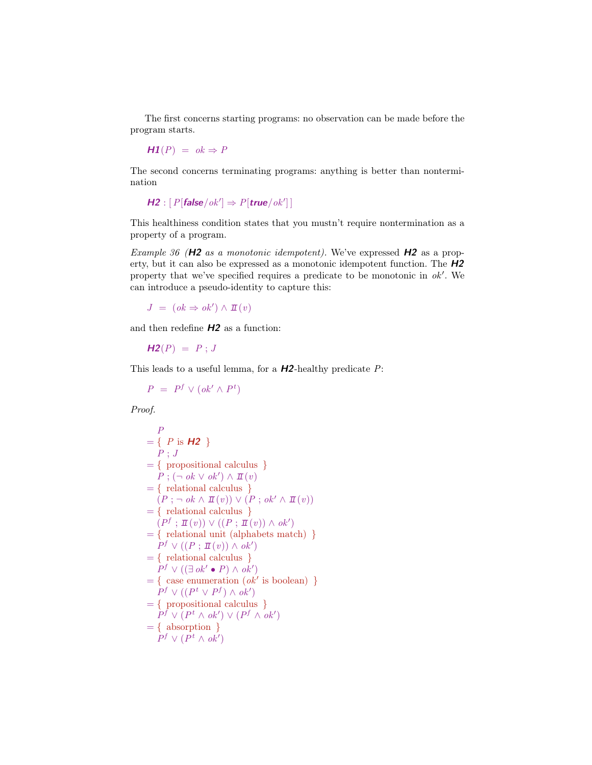The first concerns starting programs: no observation can be made before the program starts.

 $H1(P) = ok \Rightarrow P$ 

The second concerns terminating programs: anything is better than nontermination

 $H2: [P[ \mathit{false}/ \mathit{ok}'] \Rightarrow P[ \mathit{true}/ \mathit{ok}'] ]$ 

This healthiness condition states that you mustn't require nontermination as a property of a program.

Example 36 ( $H2$  as a monotonic idempotent). We've expressed  $H2$  as a property, but it can also be expressed as a monotonic idempotent function. The  $H2$ property that we've specified requires a predicate to be monotonic in  $ok'$ . We can introduce a pseudo-identity to capture this:

 $J = (ok \Rightarrow ok') \wedge \mathcal{I}(v)$ 

and then redefine  $H2$  as a function:

 $H2(P) = P ; J$ 

This leads to a useful lemma, for a  $H2$ -healthy predicate  $P$ :

 $P = P^f \vee (ok' \wedge P^t)$ 

Proof.

$$
P = \{ P \text{ is } H2 \}
$$
  
\n
$$
P; J = \{ \text{ propositional calculus } \}
$$
  
\n
$$
P; (\neg \, ok \lor \, ok') \land \Pi(v)
$$
  
\n
$$
= \{ \text{ relational calculus } \}
$$
  
\n
$$
(P; \neg \, ok \land \Pi(v)) \lor (P; \, ok' \land \Pi(v))
$$
  
\n
$$
= \{ \text{ relational calculus } \}
$$
  
\n
$$
(P^f; \Pi(v)) \lor ((P; \Pi(v)) \land ok')
$$
  
\n
$$
= \{ \text{ relational unit (alphabet match)} \}
$$
  
\n
$$
P^f \lor ((P; \Pi(v)) \land ok')
$$
  
\n
$$
= \{ \text{ relational calculus } \}
$$
  
\n
$$
P^f \lor ((\exists \, ok' \bullet P) \land ok')
$$
  
\n
$$
= \{ \text{ case enumeration } (ok' \text{ is boolean}) \}
$$
  
\n
$$
P^f \lor ((P^t \lor P^f) \land ok')
$$
  
\n
$$
= \{ \text{ propositional calculus } \}
$$
  
\n
$$
P^f \lor (P^t \land ok') \lor (P^f \land ok')
$$
  
\n
$$
= \{ \text{absorption } \}
$$
  
\n
$$
P^f \lor (P^t \land ok')
$$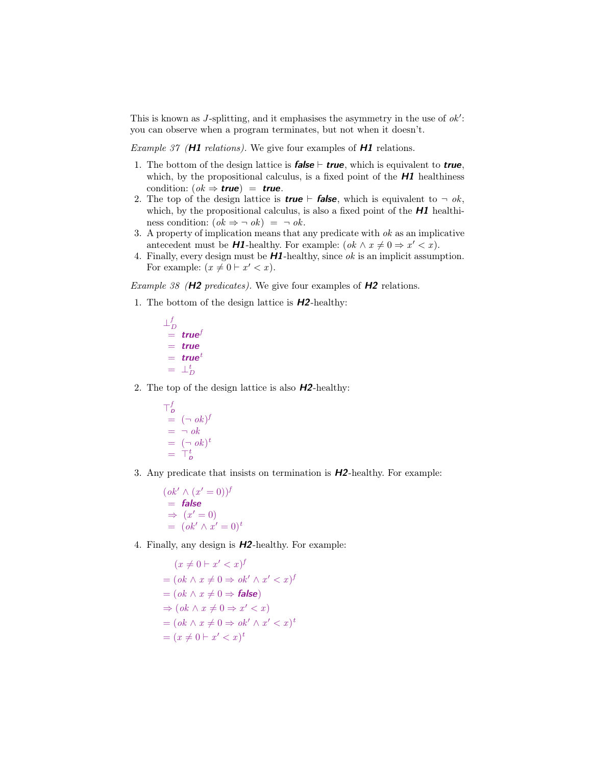This is known as  $J$ -splitting, and it emphasises the asymmetry in the use of  $ok'$ : you can observe when a program terminates, but not when it doesn't.

Example 37 (**H1** relations). We give four examples of **H1** relations.

- 1. The bottom of the design lattice is **false**  $\vdash$  **true**, which is equivalent to **true**, which, by the propositional calculus, is a fixed point of the  $H1$  healthiness condition:  $(\rho k \Rightarrow \text{true}) = \text{true}.$
- 2. The top of the design lattice is **true** ⊢ **false**, which is equivalent to  $\neg$  ok, which, by the propositional calculus, is also a fixed point of the  $H1$  healthiness condition:  $(\overrightarrow{ok} \Rightarrow \neg \overrightarrow{ok}) = \neg \overrightarrow{ok}$ .
- 3. A property of implication means that any predicate with  $ok$  as an implicative antecedent must be **H1**-healthy. For example:  $(\alpha k \wedge x \neq 0 \Rightarrow x' < x)$ .
- 4. Finally, every design must be  $H1$ -healthy, since  $ok$  is an implicit assumption. For example:  $(x \neq 0 \mid x' < x)$ .

Example 38 (H2 predicates). We give four examples of H2 relations.

- 1. The bottom of the design lattice is  $H2$ -healthy:
	- $\perp_D^f$  $=$  true<sup>f</sup>  $= true$  $=$  true<sup>t</sup>  $= \perp_D^t$
- 2. The top of the design lattice is also  $H2$ -healthy:

$$
\begin{aligned}\n\mathbb{T}_D^f &= (\neg \text{ } ok)^f \\
&= \neg \text{ } ok \\
&= (\neg \text{ } ok)^t \\
&= \top_b^t\n\end{aligned}
$$

- 3. Any predicate that insists on termination is H2-healthy. For example:
	- $(\alpha k' \wedge (x' = 0))^f$  $=$  false  $\Rightarrow$   $(x'=0)$  $= (ok' \wedge x' = 0)^t$
- 4. Finally, any design is  $H2$ -healthy. For example:
	- $(x \neq 0 \vdash x' < x)^f$  $=(ok \wedge x \neq 0 \Rightarrow ok' \wedge x' < x)'$  $=(ok \wedge x \neq 0 \Rightarrow false)$  $\Rightarrow$   $(\alpha k \land x \neq 0 \Rightarrow x' < x)$  $=(ok \wedge x \neq 0 \Rightarrow ok' \wedge x' < x)^t$  $=(x \neq 0 \vdash x' < x)^t$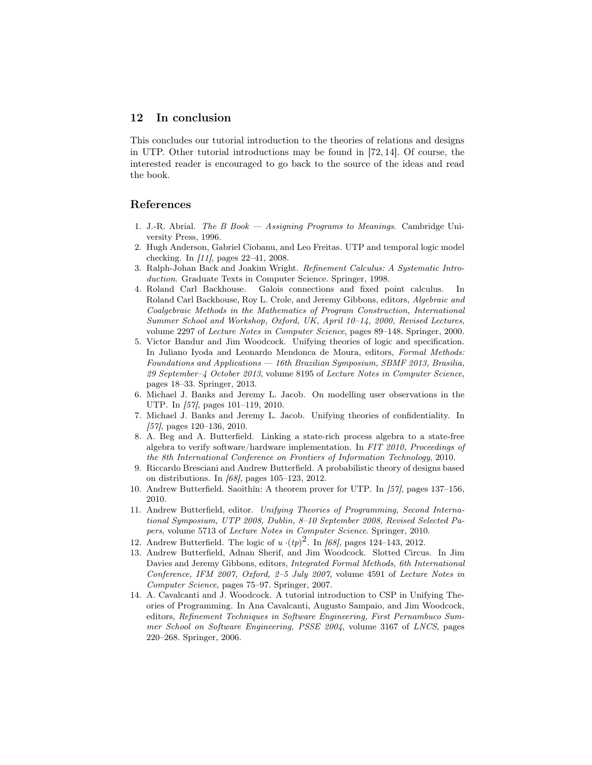#### 12 In conclusion

This concludes our tutorial introduction to the theories of relations and designs in UTP. Other tutorial introductions may be found in [72, 14]. Of course, the interested reader is encouraged to go back to the source of the ideas and read the book.

## References

- 1. J.-R. Abrial. *The B Book Assigning Programs to Meanings*. Cambridge University Press, 1996.
- 2. Hugh Anderson, Gabriel Ciobanu, and Leo Freitas. UTP and temporal logic model checking. In *[11]*, pages 22–41, 2008.
- 3. Ralph-Johan Back and Joakim Wright. *Refinement Calculus: A Systematic Introduction*. Graduate Texts in Computer Science. Springer, 1998.
- 4. Roland Carl Backhouse. Galois connections and fixed point calculus. In Roland Carl Backhouse, Roy L. Crole, and Jeremy Gibbons, editors, *Algebraic and Coalgebraic Methods in the Mathematics of Program Construction, International Summer School and Workshop, Oxford, UK, April 10–14, 2000, Revised Lectures*, volume 2297 of *Lecture Notes in Computer Science*, pages 89–148. Springer, 2000.
- 5. Victor Bandur and Jim Woodcock. Unifying theories of logic and specification. In Juliano Iyoda and Leonardo Mendonca de Moura, editors, *Formal Methods: Foundations and Applications — 16th Brazilian Symposium, SBMF 2013, Brasilia, 29 September–4 October 2013*, volume 8195 of *Lecture Notes in Computer Science*, pages 18–33. Springer, 2013.
- 6. Michael J. Banks and Jeremy L. Jacob. On modelling user observations in the UTP. In *[57]*, pages 101–119, 2010.
- 7. Michael J. Banks and Jeremy L. Jacob. Unifying theories of confidentiality. In *[57]*, pages 120–136, 2010.
- 8. A. Beg and A. Butterfield. Linking a state-rich process algebra to a state-free algebra to verify software/hardware implementation. In *FIT 2010, Proceedings of the 8th International Conference on Frontiers of Information Technology*, 2010.
- 9. Riccardo Bresciani and Andrew Butterfield. A probabilistic theory of designs based on distributions. In *[68]*, pages 105–123, 2012.
- 10. Andrew Butterfield. Saoithín: A theorem prover for UTP. In *[57]*, pages 137–156, 2010.
- 11. Andrew Butterfield, editor. *Unifying Theories of Programming, Second International Symposium, UTP 2008, Dublin, 8–10 September 2008, Revised Selected Papers*, volume 5713 of *Lecture Notes in Computer Science*. Springer, 2010.
- 12. Andrew Butterfield. The logic of *u* ·(*tp*) 2 . In *[68]*, pages 124–143, 2012.
- 13. Andrew Butterfield, Adnan Sherif, and Jim Woodcock. Slotted Circus. In Jim Davies and Jeremy Gibbons, editors, *Integrated Formal Methods, 6th International Conference, IFM 2007, Oxford, 2–5 July 2007*, volume 4591 of *Lecture Notes in Computer Science*, pages 75–97. Springer, 2007.
- 14. A. Cavalcanti and J. Woodcock. A tutorial introduction to CSP in Unifying Theories of Programming. In Ana Cavalcanti, Augusto Sampaio, and Jim Woodcock, editors, *Refinement Techniques in Software Engineering, First Pernambuco Summer School on Software Engineering, PSSE 2004*, volume 3167 of *LNCS*, pages 220–268. Springer, 2006.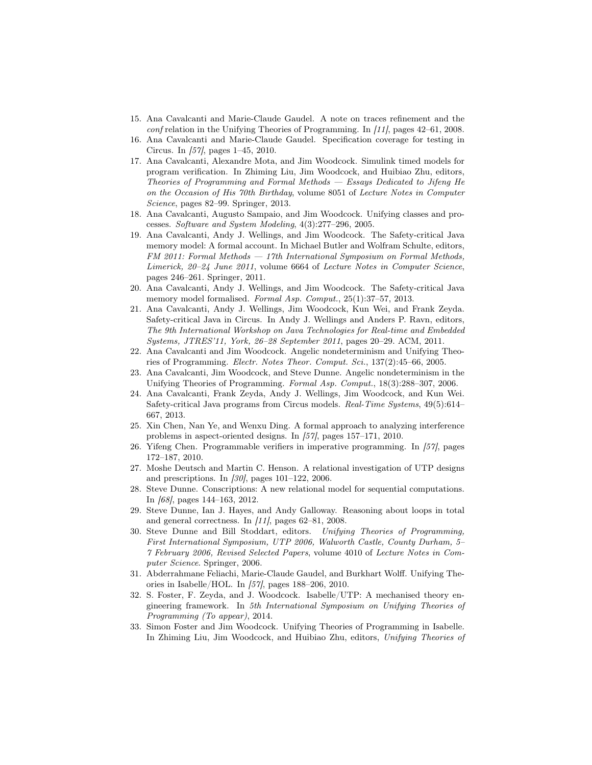- 15. Ana Cavalcanti and Marie-Claude Gaudel. A note on traces refinement and the *conf* relation in the Unifying Theories of Programming. In *[11]*, pages 42–61, 2008.
- 16. Ana Cavalcanti and Marie-Claude Gaudel. Specification coverage for testing in Circus. In *[57]*, pages 1–45, 2010.
- 17. Ana Cavalcanti, Alexandre Mota, and Jim Woodcock. Simulink timed models for program verification. In Zhiming Liu, Jim Woodcock, and Huibiao Zhu, editors, *Theories of Programming and Formal Methods — Essays Dedicated to Jifeng He on the Occasion of His 70th Birthday*, volume 8051 of *Lecture Notes in Computer Science*, pages 82–99. Springer, 2013.
- 18. Ana Cavalcanti, Augusto Sampaio, and Jim Woodcock. Unifying classes and processes. *Software and System Modeling*, 4(3):277–296, 2005.
- 19. Ana Cavalcanti, Andy J. Wellings, and Jim Woodcock. The Safety-critical Java memory model: A formal account. In Michael Butler and Wolfram Schulte, editors, *FM 2011: Formal Methods — 17th International Symposium on Formal Methods, Limerick, 20–24 June 2011*, volume 6664 of *Lecture Notes in Computer Science*, pages 246–261. Springer, 2011.
- 20. Ana Cavalcanti, Andy J. Wellings, and Jim Woodcock. The Safety-critical Java memory model formalised. *Formal Asp. Comput.*, 25(1):37–57, 2013.
- 21. Ana Cavalcanti, Andy J. Wellings, Jim Woodcock, Kun Wei, and Frank Zeyda. Safety-critical Java in Circus. In Andy J. Wellings and Anders P. Ravn, editors, *The 9th International Workshop on Java Technologies for Real-time and Embedded Systems, JTRES'11, York, 26–28 September 2011*, pages 20–29. ACM, 2011.
- 22. Ana Cavalcanti and Jim Woodcock. Angelic nondeterminism and Unifying Theories of Programming. *Electr. Notes Theor. Comput. Sci.*, 137(2):45–66, 2005.
- 23. Ana Cavalcanti, Jim Woodcock, and Steve Dunne. Angelic nondeterminism in the Unifying Theories of Programming. *Formal Asp. Comput.*, 18(3):288–307, 2006.
- 24. Ana Cavalcanti, Frank Zeyda, Andy J. Wellings, Jim Woodcock, and Kun Wei. Safety-critical Java programs from Circus models. *Real-Time Systems*, 49(5):614– 667, 2013.
- 25. Xin Chen, Nan Ye, and Wenxu Ding. A formal approach to analyzing interference problems in aspect-oriented designs. In *[57]*, pages 157–171, 2010.
- 26. Yifeng Chen. Programmable verifiers in imperative programming. In *[57]*, pages 172–187, 2010.
- 27. Moshe Deutsch and Martin C. Henson. A relational investigation of UTP designs and prescriptions. In *[30]*, pages 101–122, 2006.
- 28. Steve Dunne. Conscriptions: A new relational model for sequential computations. In *[68]*, pages 144–163, 2012.
- 29. Steve Dunne, Ian J. Hayes, and Andy Galloway. Reasoning about loops in total and general correctness. In *[11]*, pages 62–81, 2008.
- 30. Steve Dunne and Bill Stoddart, editors. *Unifying Theories of Programming, First International Symposium, UTP 2006, Walworth Castle, County Durham, 5– 7 February 2006, Revised Selected Papers*, volume 4010 of *Lecture Notes in Computer Science*. Springer, 2006.
- 31. Abderrahmane Feliachi, Marie-Claude Gaudel, and Burkhart Wolff. Unifying Theories in Isabelle/HOL. In *[57]*, pages 188–206, 2010.
- 32. S. Foster, F. Zeyda, and J. Woodcock. Isabelle/UTP: A mechanised theory engineering framework. In *5th International Symposium on Unifying Theories of Programming (To appear)*, 2014.
- 33. Simon Foster and Jim Woodcock. Unifying Theories of Programming in Isabelle. In Zhiming Liu, Jim Woodcock, and Huibiao Zhu, editors, *Unifying Theories of*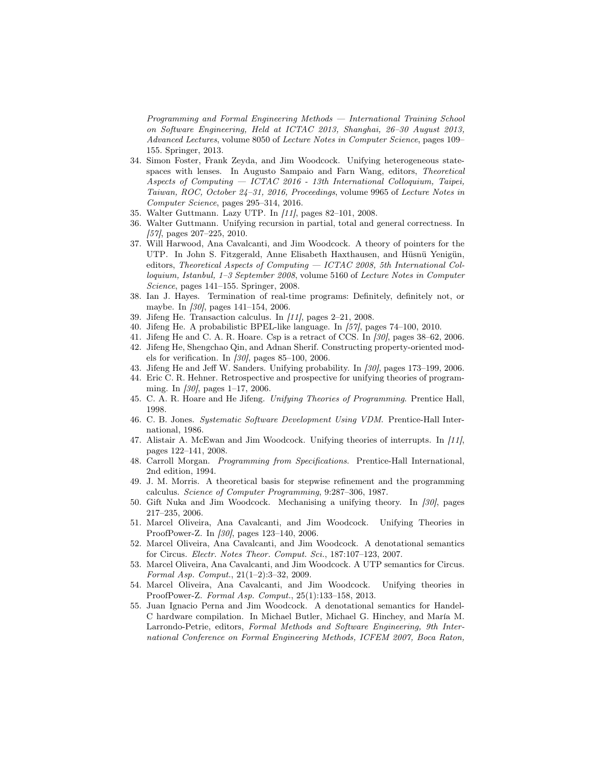*Programming and Formal Engineering Methods — International Training School on Software Engineering, Held at ICTAC 2013, Shanghai, 26–30 August 2013, Advanced Lectures*, volume 8050 of *Lecture Notes in Computer Science*, pages 109– 155. Springer, 2013.

- 34. Simon Foster, Frank Zeyda, and Jim Woodcock. Unifying heterogeneous statespaces with lenses. In Augusto Sampaio and Farn Wang, editors, *Theoretical Aspects of Computing — ICTAC 2016 - 13th International Colloquium, Taipei, Taiwan, ROC, October 24–31, 2016, Proceedings*, volume 9965 of *Lecture Notes in Computer Science*, pages 295–314, 2016.
- 35. Walter Guttmann. Lazy UTP. In *[11]*, pages 82–101, 2008.
- 36. Walter Guttmann. Unifying recursion in partial, total and general correctness. In *[57]*, pages 207–225, 2010.
- 37. Will Harwood, Ana Cavalcanti, and Jim Woodcock. A theory of pointers for the UTP. In John S. Fitzgerald, Anne Elisabeth Haxthausen, and Hüsnü Yenigün, editors, *Theoretical Aspects of Computing — ICTAC 2008, 5th International Colloquium, Istanbul, 1–3 September 2008*, volume 5160 of *Lecture Notes in Computer Science*, pages 141–155. Springer, 2008.
- 38. Ian J. Hayes. Termination of real-time programs: Definitely, definitely not, or maybe. In *[30]*, pages 141–154, 2006.
- 39. Jifeng He. Transaction calculus. In *[11]*, pages 2–21, 2008.
- 40. Jifeng He. A probabilistic BPEL-like language. In *[57]*, pages 74–100, 2010.
- 41. Jifeng He and C. A. R. Hoare. Csp is a retract of CCS. In *[30]*, pages 38–62, 2006.
- 42. Jifeng He, Shengchao Qin, and Adnan Sherif. Constructing property-oriented models for verification. In *[30]*, pages 85–100, 2006.
- 43. Jifeng He and Jeff W. Sanders. Unifying probability. In *[30]*, pages 173–199, 2006.
- 44. Eric C. R. Hehner. Retrospective and prospective for unifying theories of programming. In *[30]*, pages 1–17, 2006.
- 45. C. A. R. Hoare and He Jifeng. *Unifying Theories of Programming*. Prentice Hall, 1998.
- 46. C. B. Jones. *Systematic Software Development Using VDM*. Prentice-Hall International, 1986.
- 47. Alistair A. McEwan and Jim Woodcock. Unifying theories of interrupts. In *[11]*, pages 122–141, 2008.
- 48. Carroll Morgan. *Programming from Specifications*. Prentice-Hall International, 2nd edition, 1994.
- 49. J. M. Morris. A theoretical basis for stepwise refinement and the programming calculus. *Science of Computer Programming*, 9:287–306, 1987.
- 50. Gift Nuka and Jim Woodcock. Mechanising a unifying theory. In *[30]*, pages 217–235, 2006.
- 51. Marcel Oliveira, Ana Cavalcanti, and Jim Woodcock. Unifying Theories in ProofPower-Z. In *[30]*, pages 123–140, 2006.
- 52. Marcel Oliveira, Ana Cavalcanti, and Jim Woodcock. A denotational semantics for Circus. *Electr. Notes Theor. Comput. Sci.*, 187:107–123, 2007.
- 53. Marcel Oliveira, Ana Cavalcanti, and Jim Woodcock. A UTP semantics for Circus. *Formal Asp. Comput.*, 21(1–2):3–32, 2009.
- 54. Marcel Oliveira, Ana Cavalcanti, and Jim Woodcock. Unifying theories in ProofPower-Z. *Formal Asp. Comput.*, 25(1):133–158, 2013.
- 55. Juan Ignacio Perna and Jim Woodcock. A denotational semantics for Handel-C hardware compilation. In Michael Butler, Michael G. Hinchey, and María M. Larrondo-Petrie, editors, *Formal Methods and Software Engineering, 9th International Conference on Formal Engineering Methods, ICFEM 2007, Boca Raton,*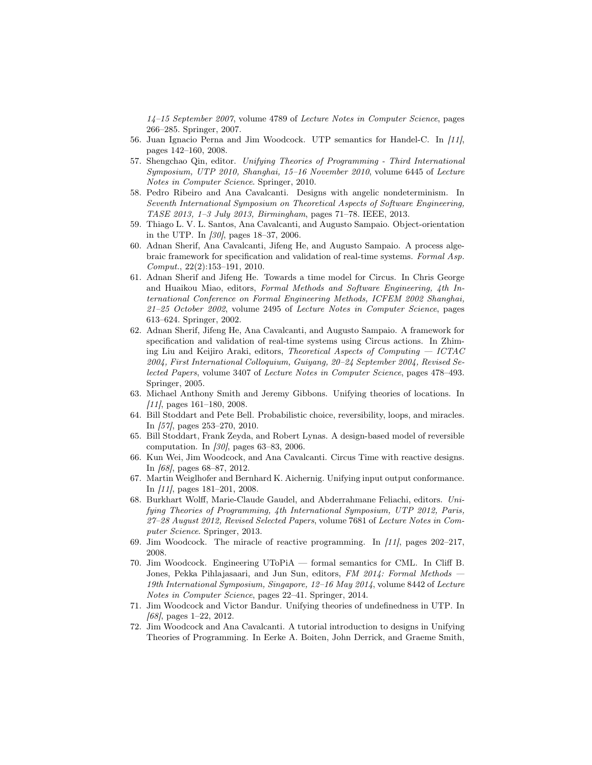*14–15 September 2007*, volume 4789 of *Lecture Notes in Computer Science*, pages 266–285. Springer, 2007.

- 56. Juan Ignacio Perna and Jim Woodcock. UTP semantics for Handel-C. In *[11]*, pages 142–160, 2008.
- 57. Shengchao Qin, editor. *Unifying Theories of Programming Third International Symposium, UTP 2010, Shanghai, 15–16 November 2010*, volume 6445 of *Lecture Notes in Computer Science*. Springer, 2010.
- 58. Pedro Ribeiro and Ana Cavalcanti. Designs with angelic nondeterminism. In *Seventh International Symposium on Theoretical Aspects of Software Engineering, TASE 2013, 1–3 July 2013, Birmingham*, pages 71–78. IEEE, 2013.
- 59. Thiago L. V. L. Santos, Ana Cavalcanti, and Augusto Sampaio. Object-orientation in the UTP. In *[30]*, pages 18–37, 2006.
- 60. Adnan Sherif, Ana Cavalcanti, Jifeng He, and Augusto Sampaio. A process algebraic framework for specification and validation of real-time systems. *Formal Asp. Comput.*, 22(2):153–191, 2010.
- 61. Adnan Sherif and Jifeng He. Towards a time model for Circus. In Chris George and Huaikou Miao, editors, *Formal Methods and Software Engineering, 4th International Conference on Formal Engineering Methods, ICFEM 2002 Shanghai, 21–25 October 2002*, volume 2495 of *Lecture Notes in Computer Science*, pages 613–624. Springer, 2002.
- 62. Adnan Sherif, Jifeng He, Ana Cavalcanti, and Augusto Sampaio. A framework for specification and validation of real-time systems using Circus actions. In Zhiming Liu and Keijiro Araki, editors, *Theoretical Aspects of Computing — ICTAC 2004, First International Colloquium, Guiyang, 20–24 September 2004, Revised Selected Papers*, volume 3407 of *Lecture Notes in Computer Science*, pages 478–493. Springer, 2005.
- 63. Michael Anthony Smith and Jeremy Gibbons. Unifying theories of locations. In *[11]*, pages 161–180, 2008.
- 64. Bill Stoddart and Pete Bell. Probabilistic choice, reversibility, loops, and miracles. In *[57]*, pages 253–270, 2010.
- 65. Bill Stoddart, Frank Zeyda, and Robert Lynas. A design-based model of reversible computation. In *[30]*, pages 63–83, 2006.
- 66. Kun Wei, Jim Woodcock, and Ana Cavalcanti. Circus Time with reactive designs. In *[68]*, pages 68–87, 2012.
- 67. Martin Weiglhofer and Bernhard K. Aichernig. Unifying input output conformance. In *[11]*, pages 181–201, 2008.
- 68. Burkhart Wolff, Marie-Claude Gaudel, and Abderrahmane Feliachi, editors. *Unifying Theories of Programming, 4th International Symposium, UTP 2012, Paris, 27–28 August 2012, Revised Selected Papers*, volume 7681 of *Lecture Notes in Computer Science*. Springer, 2013.
- 69. Jim Woodcock. The miracle of reactive programming. In *[11]*, pages 202–217, 2008.
- 70. Jim Woodcock. Engineering UToPiA formal semantics for CML. In Cliff B. Jones, Pekka Pihlajasaari, and Jun Sun, editors, *FM 2014: Formal Methods — 19th International Symposium, Singapore, 12–16 May 2014*, volume 8442 of *Lecture Notes in Computer Science*, pages 22–41. Springer, 2014.
- 71. Jim Woodcock and Victor Bandur. Unifying theories of undefinedness in UTP. In *[68]*, pages 1–22, 2012.
- 72. Jim Woodcock and Ana Cavalcanti. A tutorial introduction to designs in Unifying Theories of Programming. In Eerke A. Boiten, John Derrick, and Graeme Smith,